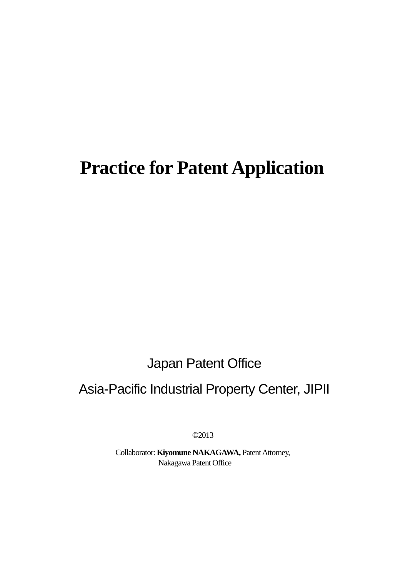# **Practice for Patent Application**

Japan Patent Office

## Asia-Pacific Industrial Property Center, JIPII

©2013

Collaborator: **Kiyomune NAKAGAWA,** Patent Attorney, Nakagawa Patent Office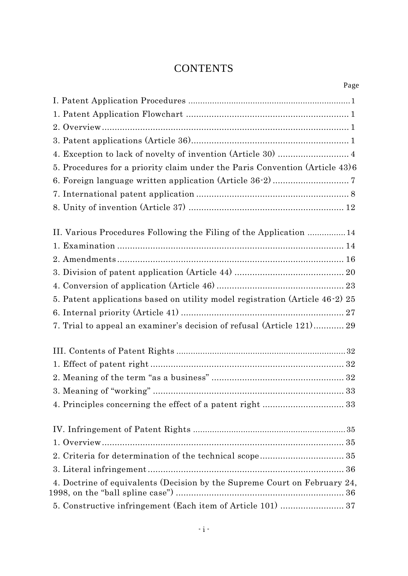### **CONTENTS**

| Page                                                                         |
|------------------------------------------------------------------------------|
|                                                                              |
|                                                                              |
|                                                                              |
|                                                                              |
| 4. Exception to lack of novelty of invention (Article 30)  4                 |
| 5. Procedures for a priority claim under the Paris Convention (Article 43)6  |
|                                                                              |
|                                                                              |
|                                                                              |
| II. Various Procedures Following the Filing of the Application 14            |
|                                                                              |
|                                                                              |
|                                                                              |
|                                                                              |
| 5. Patent applications based on utility model registration (Article 46-2) 25 |
|                                                                              |
| 7. Trial to appeal an examiner's decision of refusal (Article 121) 29        |
|                                                                              |
|                                                                              |
|                                                                              |
|                                                                              |
| 4. Principles concerning the effect of a patent right  33                    |
|                                                                              |
|                                                                              |
|                                                                              |
|                                                                              |
| 4. Doctrine of equivalents (Decision by the Supreme Court on February 24,    |
|                                                                              |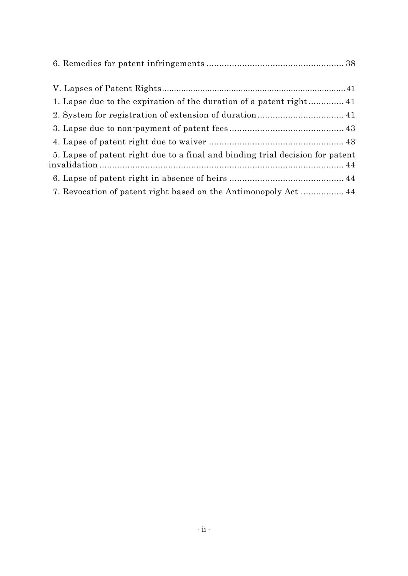| 1. Lapse due to the expiration of the duration of a patent right 41           |
|-------------------------------------------------------------------------------|
|                                                                               |
|                                                                               |
|                                                                               |
| 5. Lapse of patent right due to a final and binding trial decision for patent |
|                                                                               |
|                                                                               |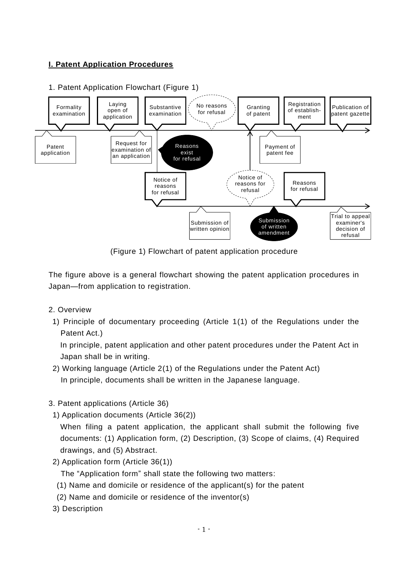#### **I. Patent Application Procedures**

#### 1. Patent Application Flowchart (Figure 1)



(Figure 1) Flowchart of patent application procedure

The figure above is a general flowchart showing the patent application procedures in Japan—from application to registration.

- 2. Overview
- 1) Principle of documentary proceeding (Article 1(1) of the Regulations under the Patent Act.)

In principle, patent application and other patent procedures under the Patent Act in Japan shall be in writing.

- 2) Working language (Article 2(1) of the Regulations under the Patent Act) In principle, documents shall be written in the Japanese language.
- 3. Patent applications (Article 36)
	- 1) Application documents (Article 36(2))

When filing a patent application, the applicant shall submit the following five documents: (1) Application form, (2) Description, (3) Scope of claims, (4) Required drawings, and (5) Abstract.

2) Application form (Article 36(1))

The "Application form" shall state the following two matters:

- (1) Name and domicile or residence of the applicant(s) for the patent
- (2) Name and domicile or residence of the inventor(s)
- 3) Description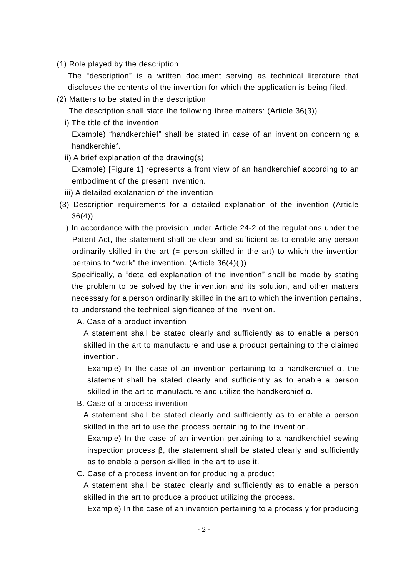(1) Role played by the description

The "description" is a written document serving as technical literature that discloses the contents of the invention for which the application is being filed.

(2) Matters to be stated in the description

The description shall state the following three matters: (Article 36(3))

- i) The title of the invention Example) "handkerchief" shall be stated in case of an invention concerning a handkerchief.
- ii) A brief explanation of the drawing(s) Example) [Figure 1] represents a front view of an handkerchief according to an embodiment of the present invention.
- iii) A detailed explanation of the invention
- (3) Description requirements for a detailed explanation of the invention (Article 36(4))
	- i) In accordance with the provision under Article 24-2 of the regulations under the Patent Act, the statement shall be clear and sufficient as to enable any person ordinarily skilled in the art  $(=$  person skilled in the art) to which the invention pertains to "work" the invention. (Article 36(4)(i))

Specifically, a "detailed explanation of the invention" shall be made by stating the problem to be solved by the invention and its solution, and other matters necessary for a person ordinarily skilled in the art to which the invention pertains, to understand the technical significance of the invention.

A. Case of a product invention

A statement shall be stated clearly and sufficiently as to enable a person skilled in the art to manufacture and use a product pertaining to the claimed invention.

Example) In the case of an invention pertaining to a handkerchief α, the statement shall be stated clearly and sufficiently as to enable a person skilled in the art to manufacture and utilize the handkerchief α.

B. Case of a process invention

A statement shall be stated clearly and sufficiently as to enable a person skilled in the art to use the process pertaining to the invention.

Example) In the case of an invention pertaining to a handkerchief sewing inspection process  $\beta$ , the statement shall be stated clearly and sufficiently as to enable a person skilled in the art to use it.

#### C. Case of a process invention for producing a product

A statement shall be stated clearly and sufficiently as to enable a person skilled in the art to produce a product utilizing the process.

Example) In the case of an invention pertaining to a process γ for producing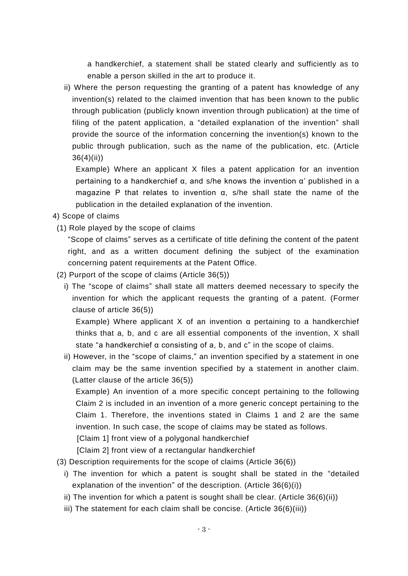a handkerchief, a statement shall be stated clearly and sufficiently as to enable a person skilled in the art to produce it.

ii) Where the person requesting the granting of a patent has knowledge of any invention(s) related to the claimed invention that has been known to the public through publication (publicly known invention through publication) at the time of filing of the patent application, a "detailed explanation of the invention" shall provide the source of the information concerning the invention(s) known to the public through publication, such as the name of the publication, etc. (Article 36(4)(ii))

Example) Where an applicant X files a patent application for an invention pertaining to a handkerchief α, and s/he knows the invention α' published in a magazine P that relates to invention α, s/he shall state the name of the publication in the detailed explanation of the invention.

4) Scope of claims

(1) Role played by the scope of claims

"Scope of claims" serves as a certificate of title defining the content of the patent right, and as a written document defining the subject of the examination concerning patent requirements at the Patent Office.

- (2) Purport of the scope of claims (Article 36(5))
	- i) The "scope of claims" shall state all matters deemed necessary to specify the invention for which the applicant requests the granting of a patent. (Former clause of article 36(5))

Example) Where applicant X of an invention  $\alpha$  pertaining to a handkerchief thinks that a, b, and c are all essential components of the invention, X shall state "a handkerchief  $\alpha$  consisting of a, b, and c" in the scope of claims.

ii) However, in the "scope of claims," an invention specified by a statement in one claim may be the same invention specified by a statement in another claim. (Latter clause of the article 36(5))

Example) An invention of a more specific concept pertaining to the following Claim 2 is included in an invention of a more generic concept pertaining to the Claim 1. Therefore, the inventions stated in Claims 1 and 2 are the same invention. In such case, the scope of claims may be stated as follows.

[Claim 1] front view of a polygonal handkerchief

[Claim 2] front view of a rectangular handkerchief

- (3) Description requirements for the scope of claims (Article 36(6))
	- i) The invention for which a patent is sought shall be stated in the "detailed explanation of the invention" of the description. (Article 36(6)(i))
	- ii) The invention for which a patent is sought shall be clear. (Article 36(6)(ii))
	- iii) The statement for each claim shall be concise. (Article 36(6)(iii))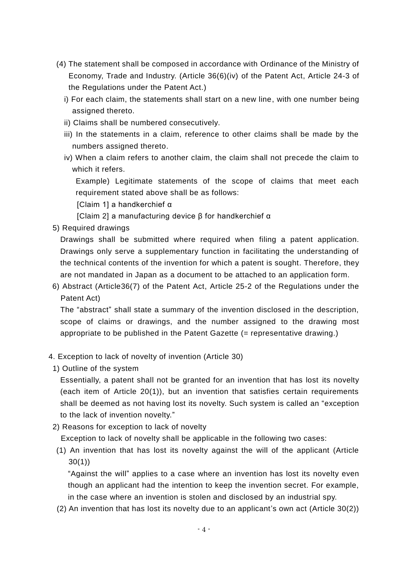- (4) The statement shall be composed in accordance with Ordinance of the Ministry of Economy, Trade and Industry. (Article 36(6)(iv) of the Patent Act, Article 24-3 of the Regulations under the Patent Act.)
	- i) For each claim, the statements shall start on a new line, with one number being assigned thereto.
	- ii) Claims shall be numbered consecutively.
	- iii) In the statements in a claim, reference to other claims shall be made by the numbers assigned thereto.
	- iv) When a claim refers to another claim, the claim shall not precede the claim to which it refers.

Example) Legitimate statements of the scope of claims that meet each requirement stated above shall be as follows:

[Claim 1] a handkerchief α

[Claim 2] a manufacturing device β for handkerchief α

5) Required drawings

Drawings shall be submitted where required when filing a patent application. Drawings only serve a supplementary function in facilitating the understanding of the technical contents of the invention for which a patent is sought. Therefore, they are not mandated in Japan as a document to be attached to an application form.

6) Abstract (Article36(7) of the Patent Act, Article 25-2 of the Regulations under the Patent Act)

The "abstract" shall state a summary of the invention disclosed in the description, scope of claims or drawings, and the number assigned to the drawing most appropriate to be published in the Patent Gazette (= representative drawing.)

- 4. Exception to lack of novelty of invention (Article 30)
- 1) Outline of the system

Essentially, a patent shall not be granted for an invention that has lost its novelty (each item of Article 20(1)), but an invention that satisfies certain requirements shall be deemed as not having lost its novelty. Such system is called an "exception to the lack of invention novelty."

2) Reasons for exception to lack of novelty

Exception to lack of novelty shall be applicable in the following two cases:

(1) An invention that has lost its novelty against the will of the applicant (Article 30(1))

"Against the will" applies to a case where an invention has lost its novelty even though an applicant had the intention to keep the invention secret. For example, in the case where an invention is stolen and disclosed by an industrial spy.

(2) An invention that has lost its novelty due to an applicant's own act (Article 30(2))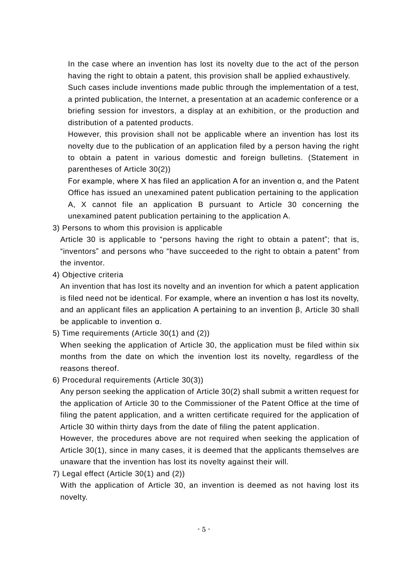In the case where an invention has lost its novelty due to the act of the person having the right to obtain a patent, this provision shall be applied exhaustively.

Such cases include inventions made public through the implementation of a test, a printed publication, the Internet, a presentation at an academic conference or a briefing session for investors, a display at an exhibition, or the production and distribution of a patented products.

However, this provision shall not be applicable where an invention has lost its novelty due to the publication of an application filed by a person having the right to obtain a patent in various domestic and foreign bulletins. (Statement in parentheses of Article 30(2))

For example, where X has filed an application A for an invention α, and the Patent Office has issued an unexamined patent publication pertaining to the application A, X cannot file an application B pursuant to Article 30 concerning the unexamined patent publication pertaining to the application A.

3) Persons to whom this provision is applicable

Article 30 is applicable to "persons having the right to obtain a patent"; that is, "inventors" and persons who "have succeeded to the right to obtain a patent" from the inventor.

4) Objective criteria

An invention that has lost its novelty and an invention for which a patent application is filed need not be identical. For example, where an invention α has lost its novelty, and an applicant files an application A pertaining to an invention β, Article 30 shall be applicable to invention α.

5) Time requirements (Article 30(1) and (2))

When seeking the application of Article 30, the application must be filed within six months from the date on which the invention lost its novelty, regardless of the reasons thereof.

6) Procedural requirements (Article 30(3))

Any person seeking the application of Article 30(2) shall submit a written request for the application of Article 30 to the Commissioner of the Patent Office at the time of filing the patent application, and a written certificate required for the application of Article 30 within thirty days from the date of filing the patent application.

However, the procedures above are not required when seeking the application of Article 30(1), since in many cases, it is deemed that the applicants themselves are unaware that the invention has lost its novelty against their will.

7) Legal effect (Article 30(1) and (2))

With the application of Article 30, an invention is deemed as not having lost its novelty.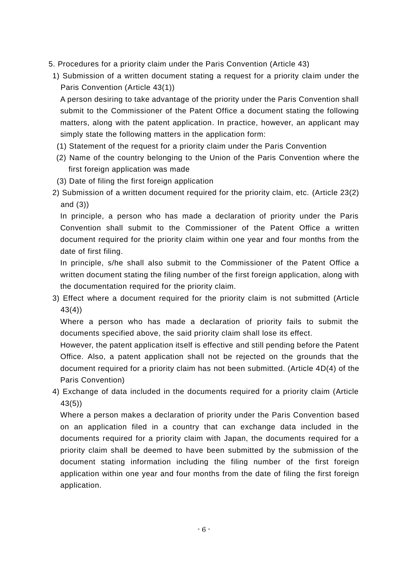- 5. Procedures for a priority claim under the Paris Convention (Article 43)
- 1) Submission of a written document stating a request for a priority claim under the Paris Convention (Article 43(1))

A person desiring to take advantage of the priority under the Paris Convention shall submit to the Commissioner of the Patent Office a document stating the following matters, along with the patent application. In practice, however, an applicant may simply state the following matters in the application form:

- (1) Statement of the request for a priority claim under the Paris Convention
- (2) Name of the country belonging to the Union of the Paris Convention where the first foreign application was made
- (3) Date of filing the first foreign application
- 2) Submission of a written document required for the priority claim, etc. (Article 23(2) and (3))

In principle, a person who has made a declaration of priority under the Paris Convention shall submit to the Commissioner of the Patent Office a written document required for the priority claim within one year and four months from the date of first filing.

In principle, s/he shall also submit to the Commissioner of the Patent Office a written document stating the filing number of the first foreign application, along with the documentation required for the priority claim.

3) Effect where a document required for the priority claim is not submitted (Article 43(4))

Where a person who has made a declaration of priority fails to submit the documents specified above, the said priority claim shall lose its effect.

However, the patent application itself is effective and still pending before the Patent Office. Also, a patent application shall not be rejected on the grounds that the document required for a priority claim has not been submitted. (Article 4D(4) of the Paris Convention)

4) Exchange of data included in the documents required for a priority claim (Article 43(5))

Where a person makes a declaration of priority under the Paris Convention based on an application filed in a country that can exchange data included in the documents required for a priority claim with Japan, the documents required for a priority claim shall be deemed to have been submitted by the submission of the document stating information including the filing number of the first foreign application within one year and four months from the date of filing the first foreign application.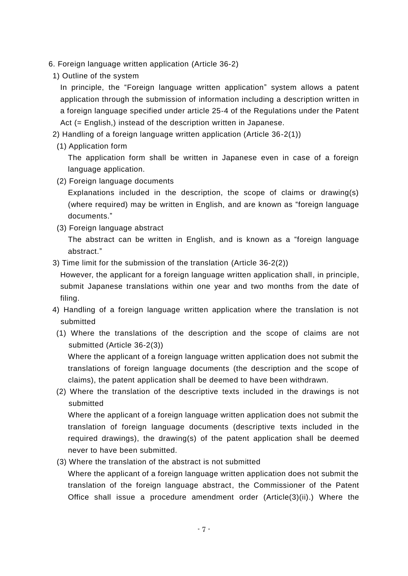- 6. Foreign language written application (Article 36-2)
	- 1) Outline of the system

In principle, the "Foreign language written application" system allows a patent application through the submission of information including a description written in a foreign language specified under article 25-4 of the Regulations under the Patent Act (= English,) instead of the description written in Japanese.

- 2) Handling of a foreign language written application (Article 36-2(1))
	- (1) Application form

The application form shall be written in Japanese even in case of a foreign language application.

(2) Foreign language documents

Explanations included in the description, the scope of claims or drawing(s) (where required) may be written in English, and are known as "foreign language documents."

(3) Foreign language abstract

The abstract can be written in English, and is known as a "foreign language abstract."

3) Time limit for the submission of the translation (Article 36-2(2))

However, the applicant for a foreign language written application shall, in principle, submit Japanese translations within one year and two months from the date of filing.

- 4) Handling of a foreign language written application where the translation is not submitted
- (1) Where the translations of the description and the scope of claims are not submitted (Article 36-2(3))

Where the applicant of a foreign language written application does not submit the translations of foreign language documents (the description and the scope of claims), the patent application shall be deemed to have been withdrawn.

(2) Where the translation of the descriptive texts included in the drawings is not submitted

Where the applicant of a foreign language written application does not submit the translation of foreign language documents (descriptive texts included in the required drawings), the drawing(s) of the patent application shall be deemed never to have been submitted.

(3) Where the translation of the abstract is not submitted

Where the applicant of a foreign language written application does not submit the translation of the foreign language abstract, the Commissioner of the Patent Office shall issue a procedure amendment order (Article(3)(ii).) Where the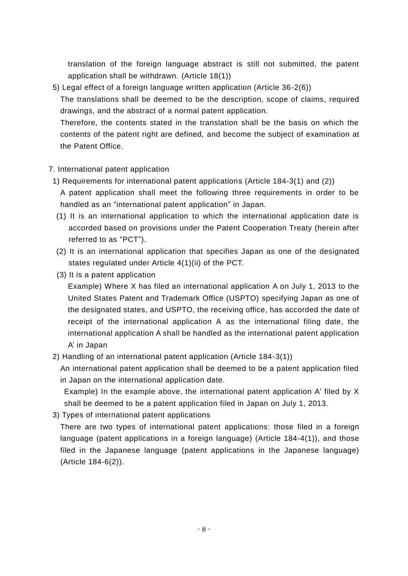translation of the foreign language abstract is still not submitted, the patent application shall be withdrawn. (Article 18(1))

5) Legal effect of a foreign language written application (Article 36-2(6))

The translations shall be deemed to be the description, scope of claims, required drawings, and the abstract of a normal patent application.

Therefore, the contents stated in the translation shall be the basis on which the contents of the patent right are defined, and become the subject of examination at the Patent Office.

#### 7. International patent application

- 1) Requirements for international patent applications (Article 184-3(1) and (2)) A patent application shall meet the following three requirements in order to be handled as an "international patent application" in Japan.
- (1) It is an international application to which the international application date is accorded based on provisions under the Patent Cooperation Treaty (herein after referred to as "PCT").
- (2) It is an international application that specifies Japan as one of the designated states regulated under Article 4(1)(ii) of the PCT.
- (3) It is a patent application

Example) Where X has filed an international application A on July 1, 2013 to the United States Patent and Trademark Office (USPTO) specifying Japan as one of the designated states, and USPTO, the receiving office, has accorded the date of receipt of the international application A as the international filing date, the international application A shall be handled as the international patent application A' in Japan

2) Handling of an international patent application (Article 184-3(1))

An international patent application shall be deemed to be a patent application filed in Japan on the international application date.

Example) In the example above, the international patent application A' filed by X shall be deemed to be a patent application filed in Japan on July 1, 2013.

3) Types of international patent applications

There are two types of international patent applications: those filed in a foreign language (patent applications in a foreign language) (Article 184-4(1)), and those filed in the Japanese language (patent applications in the Japanese language) (Article 184-6(2)).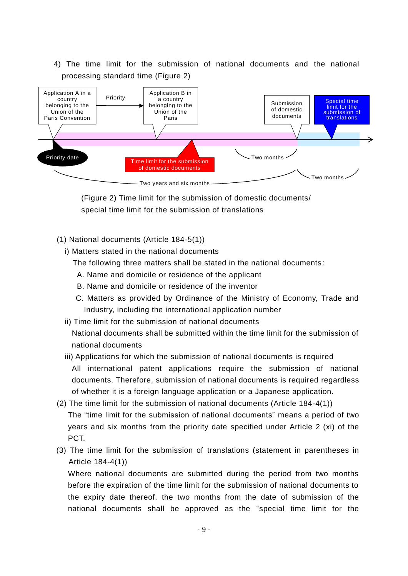4) The time limit for the submission of national documents and the national processing standard time (Figure 2)



(Figure 2) Time limit for the submission of domestic documents/ special time limit for the submission of translations

- (1) National documents (Article 184-5(1))
	- i) Matters stated in the national documents

The following three matters shall be stated in the national documents:

- A. Name and domicile or residence of the applicant
- B. Name and domicile or residence of the inventor
- C. Matters as provided by Ordinance of the Ministry of Economy, Trade and Industry, including the international application number
- ii) Time limit for the submission of national documents

National documents shall be submitted within the time limit for the submission of national documents

- iii) Applications for which the submission of national documents is required All international patent applications require the submission of national documents. Therefore, submission of national documents is required regardless of whether it is a foreign language application or a Japanese application.
- (2) The time limit for the submission of national documents (Article 184-4(1)) The "time limit for the submission of national documents" means a period of two years and six months from the priority date specified under Article 2 (xi) of the PCT.
- (3) The time limit for the submission of translations (statement in parentheses in Article 184-4(1))

Where national documents are submitted during the period from two months before the expiration of the time limit for the submission of national documents to the expiry date thereof, the two months from the date of submission of the national documents shall be approved as the "special time limit for the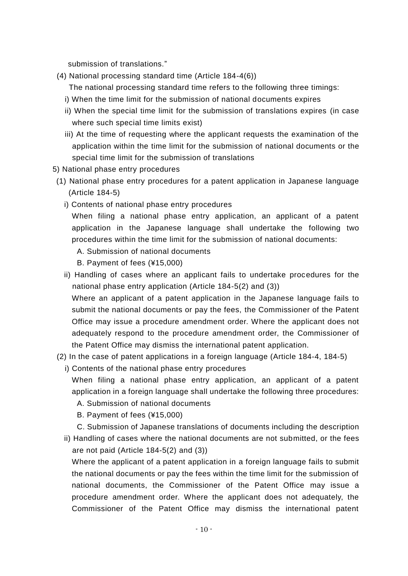submission of translations."

(4) National processing standard time (Article 184-4(6))

The national processing standard time refers to the following three timings:

- i) When the time limit for the submission of national documents expires
- ii) When the special time limit for the submission of translations expires (in case where such special time limits exist)
- iii) At the time of requesting where the applicant requests the examination of the application within the time limit for the submission of national documents or the special time limit for the submission of translations
- 5) National phase entry procedures
- (1) National phase entry procedures for a patent application in Japanese language (Article 184-5)
	- i) Contents of national phase entry procedures

When filing a national phase entry application, an applicant of a patent application in the Japanese language shall undertake the following two procedures within the time limit for the submission of national documents:

- A. Submission of national documents
- B. Payment of fees (¥15,000)
- ii) Handling of cases where an applicant fails to undertake procedures for the national phase entry application (Article 184-5(2) and (3))

Where an applicant of a patent application in the Japanese language fails to submit the national documents or pay the fees, the Commissioner of the Patent Office may issue a procedure amendment order. Where the applicant does not adequately respond to the procedure amendment order, the Commissioner of the Patent Office may dismiss the international patent application.

- (2) In the case of patent applications in a foreign language (Article 184-4, 184-5)
	- i) Contents of the national phase entry procedures

When filing a national phase entry application, an applicant of a patent application in a foreign language shall undertake the following three procedures:

- A. Submission of national documents
- B. Payment of fees (¥15,000)
- C. Submission of Japanese translations of documents including the description
- ii) Handling of cases where the national documents are not submitted, or the fees are not paid (Article 184-5(2) and (3))

Where the applicant of a patent application in a foreign language fails to submit the national documents or pay the fees within the time limit for the submission of national documents, the Commissioner of the Patent Office may issue a procedure amendment order. Where the applicant does not adequately, the Commissioner of the Patent Office may dismiss the international patent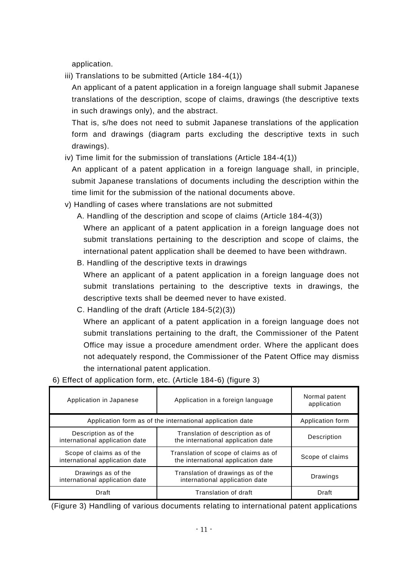application.

iii) Translations to be submitted (Article 184-4(1))

An applicant of a patent application in a foreign language shall submit Japanese translations of the description, scope of claims, drawings (the descriptive texts in such drawings only), and the abstract.

That is, s/he does not need to submit Japanese translations of the application form and drawings (diagram parts excluding the descriptive texts in such drawings).

iv) Time limit for the submission of translations (Article 184-4(1))

An applicant of a patent application in a foreign language shall, in principle, submit Japanese translations of documents including the description within the time limit for the submission of the national documents above.

- v) Handling of cases where translations are not submitted
	- A. Handling of the description and scope of claims (Article 184-4(3))

Where an applicant of a patent application in a foreign language does not submit translations pertaining to the description and scope of claims, the international patent application shall be deemed to have been withdrawn.

B. Handling of the descriptive texts in drawings

Where an applicant of a patent application in a foreign language does not submit translations pertaining to the descriptive texts in drawings, the descriptive texts shall be deemed never to have existed.

C. Handling of the draft (Article 184-5(2)(3))

Where an applicant of a patent application in a foreign language does not submit translations pertaining to the draft, the Commissioner of the Patent Office may issue a procedure amendment order. Where the applicant does not adequately respond, the Commissioner of the Patent Office may dismiss the international patent application.

| Application in Japanese                                     | Application in a foreign language                                               | Normal patent<br>application |
|-------------------------------------------------------------|---------------------------------------------------------------------------------|------------------------------|
| Application form as of the international application date   | Application form                                                                |                              |
| Description as of the<br>international application date     | Translation of description as of<br>the international application date          | Description                  |
| Scope of claims as of the<br>international application date | Translation of scope of claims as of<br>the international application date      | Scope of claims              |
| Drawings as of the<br>international application date        | Translation of drawings as of the<br>Drawings<br>international application date |                              |
| Draft                                                       | Translation of draft<br>Draft                                                   |                              |

6) Effect of application form, etc. (Article 184-6) (figure 3)

(Figure 3) Handling of various documents relating to international patent applications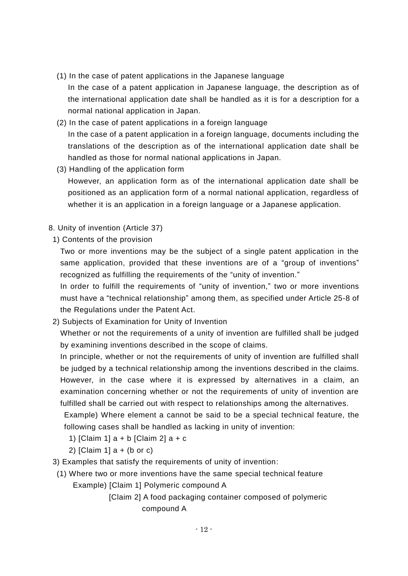- (1) In the case of patent applications in the Japanese language
	- In the case of a patent application in Japanese language, the description as of the international application date shall be handled as it is for a description for a normal national application in Japan.
- (2) In the case of patent applications in a foreign language In the case of a patent application in a foreign language, documents including the translations of the description as of the international application date shall be handled as those for normal national applications in Japan.
- (3) Handling of the application form

However, an application form as of the international application date shall be positioned as an application form of a normal national application, regardless of whether it is an application in a foreign language or a Japanese application.

- 8. Unity of invention (Article 37)
	- 1) Contents of the provision

Two or more inventions may be the subject of a single patent application in the same application, provided that these inventions are of a "group of inventions" recognized as fulfilling the requirements of the "unity of invention."

In order to fulfill the requirements of "unity of invention," two or more inventions must have a "technical relationship" among them, as specified under Article 25-8 of the Regulations under the Patent Act.

2) Subjects of Examination for Unity of Invention

Whether or not the requirements of a unity of invention are fulfilled shall be judged by examining inventions described in the scope of claims.

In principle, whether or not the requirements of unity of invention are fulfilled shall be judged by a technical relationship among the inventions described in the claims. However, in the case where it is expressed by alternatives in a claim, an examination concerning whether or not the requirements of unity of invention are fulfilled shall be carried out with respect to relationships among the alternatives.

Example) Where element a cannot be said to be a special technical feature, the following cases shall be handled as lacking in unity of invention:

- 1) [Claim 1]  $a + b$  [Claim 2]  $a + c$
- 2) [Claim 1]  $a + (b)$  or c)
- 3) Examples that satisfy the requirements of unity of invention:
- (1) Where two or more inventions have the same special technical feature
	- Example) [Claim 1] Polymeric compound A
		- [Claim 2] A food packaging container composed of polymeric compound A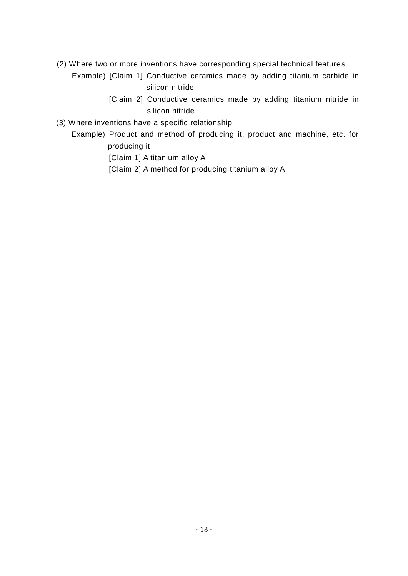- (2) Where two or more inventions have corresponding special technical features
	- Example) [Claim 1] Conductive ceramics made by adding titanium carbide in silicon nitride
		- [Claim 2] Conductive ceramics made by adding titanium nitride in silicon nitride
- (3) Where inventions have a specific relationship
	- Example) Product and method of producing it, product and machine, etc. for producing it
		- [Claim 1] A titanium alloy A
		- [Claim 2] A method for producing titanium alloy A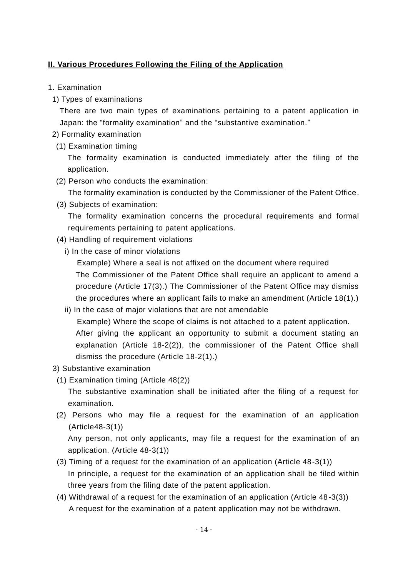#### **II. Various Procedures Following the Filing of the Application**

- 1. Examination
	- 1) Types of examinations

There are two main types of examinations pertaining to a patent application in Japan: the "formality examination" and the "substantive examination."

- 2) Formality examination
	- (1) Examination timing

The formality examination is conducted immediately after the filing of the application.

- (2) Person who conducts the examination:
	- The formality examination is conducted by the Commissioner of the Patent Office.
- (3) Subjects of examination:

The formality examination concerns the procedural requirements and formal requirements pertaining to patent applications.

- (4) Handling of requirement violations
	- i) In the case of minor violations

Example) Where a seal is not affixed on the document where required The Commissioner of the Patent Office shall require an applicant to amend a procedure (Article 17(3).) The Commissioner of the Patent Office may dismiss the procedures where an applicant fails to make an amendment (Article 18(1).)

- ii) In the case of major violations that are not amendable Example) Where the scope of claims is not attached to a patent application. After giving the applicant an opportunity to submit a document stating an explanation (Article 18-2(2)), the commissioner of the Patent Office shall dismiss the procedure (Article 18-2(1).)
- 3) Substantive examination
- (1) Examination timing (Article 48(2))

The substantive examination shall be initiated after the filing of a request for examination.

(2) Persons who may file a request for the examination of an application (Article48-3(1))

Any person, not only applicants, may file a request for the examination of an application. (Article 48-3(1))

- (3) Timing of a request for the examination of an application (Article 48-3(1)) In principle, a request for the examination of an application shall be filed within three years from the filing date of the patent application.
- (4) Withdrawal of a request for the examination of an application (Article 48-3(3)) A request for the examination of a patent application may not be withdrawn.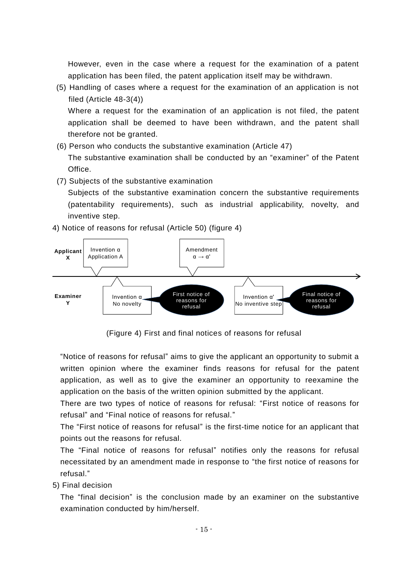However, even in the case where a request for the examination of a patent application has been filed, the patent application itself may be withdrawn.

(5) Handling of cases where a request for the examination of an application is not filed (Article 48-3(4))

Where a request for the examination of an application is not filed, the patent application shall be deemed to have been withdrawn, and the patent shall therefore not be granted.

- (6) Person who conducts the substantive examination (Article 47) The substantive examination shall be conducted by an "examiner" of the Patent Office.
- (7) Subjects of the substantive examination

Subjects of the substantive examination concern the substantive requirements (patentability requirements), such as industrial applicability, novelty, and inventive step.



4) Notice of reasons for refusal (Article 50) (figure 4)

(Figure 4) First and final notices of reasons for refusal

"Notice of reasons for refusal" aims to give the applicant an opportunity to submit a written opinion where the examiner finds reasons for refusal for the patent application, as well as to give the examiner an opportunity to reexamine the application on the basis of the written opinion submitted by the applicant.

There are two types of notice of reasons for refusal: "First notice of reasons for refusal" and "Final notice of reasons for refusal."

The "First notice of reasons for refusal" is the first-time notice for an applicant that points out the reasons for refusal.

The "Final notice of reasons for refusal" notifies only the reasons for refusal necessitated by an amendment made in response to "the first notice of reasons for refusal."

5) Final decision

The "final decision" is the conclusion made by an examiner on the substantive examination conducted by him/herself.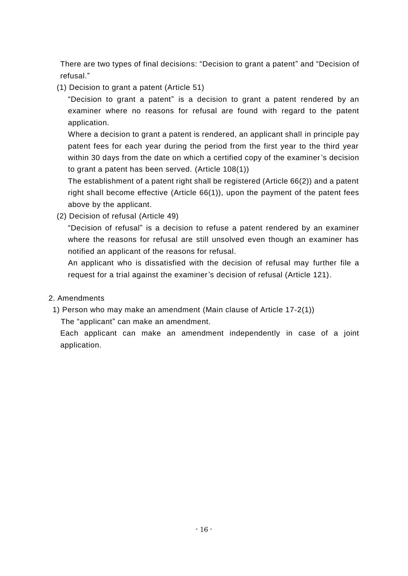There are two types of final decisions: "Decision to grant a patent" and "Decision of refusal."

(1) Decision to grant a patent (Article 51)

"Decision to grant a patent" is a decision to grant a patent rendered by an examiner where no reasons for refusal are found with regard to the patent application.

Where a decision to grant a patent is rendered, an applicant shall in principle pay patent fees for each year during the period from the first year to the third year within 30 days from the date on which a certified copy of the examiner's decision to grant a patent has been served. (Article 108(1))

The establishment of a patent right shall be registered (Article 66(2)) and a patent right shall become effective (Article 66(1)), upon the payment of the patent fees above by the applicant.

(2) Decision of refusal (Article 49)

"Decision of refusal" is a decision to refuse a patent rendered by an examiner where the reasons for refusal are still unsolved even though an examiner has notified an applicant of the reasons for refusal.

An applicant who is dissatisfied with the decision of refusal may further file a request for a trial against the examiner's decision of refusal (Article 121).

#### 2. Amendments

1) Person who may make an amendment (Main clause of Article 17-2(1))

The "applicant" can make an amendment.

Each applicant can make an amendment independently in case of a joint application.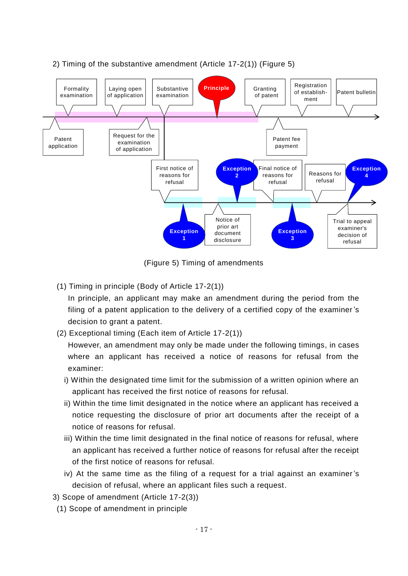

#### 2) Timing of the substantive amendment (Article 17-2(1)) (Figure 5)

(Figure 5) Timing of amendments

(1) Timing in principle (Body of Article 17-2(1))

In principle, an applicant may make an amendment during the period from the filing of a patent application to the delivery of a certified copy of the examiner's decision to grant a patent.

(2) Exceptional timing (Each item of Article 17-2(1))

However, an amendment may only be made under the following timings, in cases where an applicant has received a notice of reasons for refusal from the examiner:

- i) Within the designated time limit for the submission of a written opinion where an applicant has received the first notice of reasons for refusal.
- ii) Within the time limit designated in the notice where an applicant has received a notice requesting the disclosure of prior art documents after the receipt of a notice of reasons for refusal.
- iii) Within the time limit designated in the final notice of reasons for refusal, where an applicant has received a further notice of reasons for refusal after the receipt of the first notice of reasons for refusal.
- iv) At the same time as the filing of a request for a trial against an examiner's decision of refusal, where an applicant files such a request.
- 3) Scope of amendment (Article 17-2(3))
- (1) Scope of amendment in principle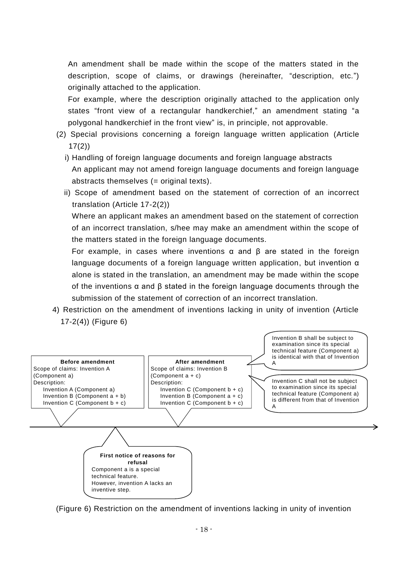An amendment shall be made within the scope of the matters stated in the description, scope of claims, or drawings (hereinafter, "description, etc.") originally attached to the application.

For example, where the description originally attached to the application only states "front view of a rectangular handkerchief," an amendment stating "a polygonal handkerchief in the front view" is, in principle, not approvable.

- (2) Special provisions concerning a foreign language written application (Article 17(2))
	- i) Handling of foreign language documents and foreign language abstracts An applicant may not amend foreign language documents and foreign language abstracts themselves (= original texts).
	- ii) Scope of amendment based on the statement of correction of an incorrect translation (Article 17-2(2))

Where an applicant makes an amendment based on the statement of correction of an incorrect translation, s/hee may make an amendment within the scope of the matters stated in the foreign language documents.

For example, in cases where inventions α and β are stated in the foreign language documents of a foreign language written application, but invention α alone is stated in the translation, an amendment may be made within the scope of the inventions  $\alpha$  and  $\beta$  stated in the foreign language documents through the submission of the statement of correction of an incorrect translation.

4) Restriction on the amendment of inventions lacking in unity of invention (Article 17-2(4)) (Figure 6)



(Figure 6) Restriction on the amendment of inventions lacking in unity of invention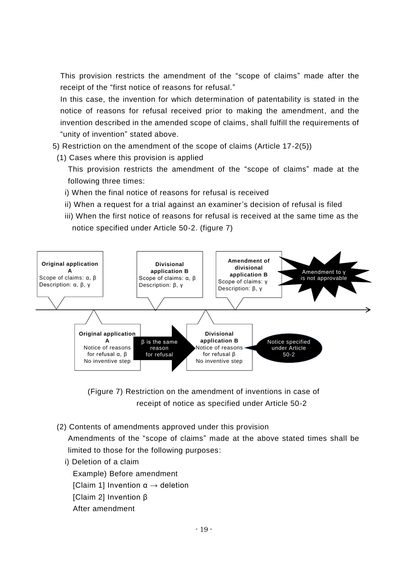This provision restricts the amendment of the "scope of claims" made after the receipt of the "first notice of reasons for refusal."

In this case, the invention for which determination of patentability is stated in the notice of reasons for refusal received prior to making the amendment, and the invention described in the amended scope of claims, shall fulfill the requirements of "unity of invention" stated above.

- 5) Restriction on the amendment of the scope of claims (Article 17-2(5))
- (1) Cases where this provision is applied

This provision restricts the amendment of the "scope of claims" made at the following three times:

- i) When the final notice of reasons for refusal is received
- ii) When a request for a trial against an examiner's decision of refusal is filed
- iii) When the first notice of reasons for refusal is received at the same time as the notice specified under Article 50-2. (figure 7)



(Figure 7) Restriction on the amendment of inventions in case of receipt of notice as specified under Article 50-2

(2) Contents of amendments approved under this provision

Amendments of the "scope of claims" made at the above stated times shall be limited to those for the following purposes:

i) Deletion of a claim

Example) Before amendment

[Claim 1] Invention  $\alpha \rightarrow$  deletion

- [Claim 2] Invention β
- After amendment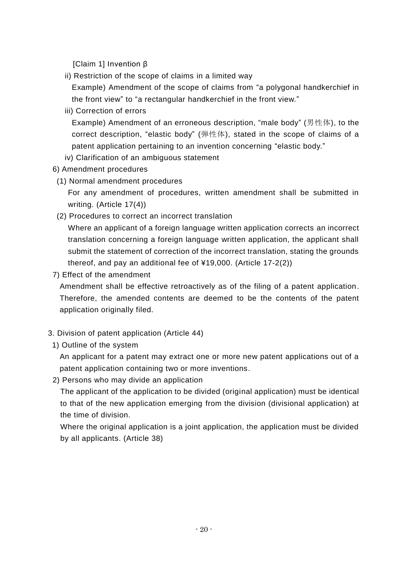[Claim 1] Invention β

ii) Restriction of the scope of claims in a limited way

Example) Amendment of the scope of claims from "a polygonal handkerchief in the front view" to "a rectangular handkerchief in the front view."

iii) Correction of errors

Example) Amendment of an erroneous description, "male body" (男性体), to the correct description, "elastic body" (弾性体), stated in the scope of claims of a patent application pertaining to an invention concerning "elastic body."

- iv) Clarification of an ambiguous statement
- 6) Amendment procedures
- (1) Normal amendment procedures

For any amendment of procedures, written amendment shall be submitted in writing. (Article 17(4))

(2) Procedures to correct an incorrect translation

Where an applicant of a foreign language written application corrects an incorrect translation concerning a foreign language written application, the applicant shall submit the statement of correction of the incorrect translation, stating the grounds thereof, and pay an additional fee of ¥19,000. (Article 17-2(2))

7) Effect of the amendment

Amendment shall be effective retroactively as of the filing of a patent application. Therefore, the amended contents are deemed to be the contents of the patent application originally filed.

- 3. Division of patent application (Article 44)
	- 1) Outline of the system

An applicant for a patent may extract one or more new patent applications out of a patent application containing two or more inventions.

2) Persons who may divide an application

The applicant of the application to be divided (original application) must be identical to that of the new application emerging from the division (divisional application) at the time of division.

Where the original application is a joint application, the application must be divided by all applicants. (Article 38)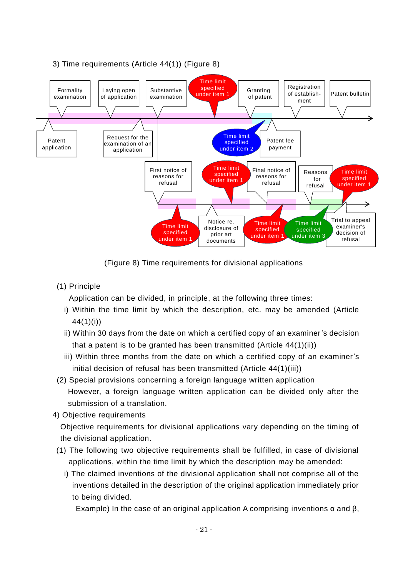

#### 3) Time requirements (Article 44(1)) (Figure 8)

(Figure 8) Time requirements for divisional applications

(1) Principle

Application can be divided, in principle, at the following three times:

- i) Within the time limit by which the description, etc. may be amended (Article 44(1)(i))
- ii) Within 30 days from the date on which a certified copy of an examiner's decision that a patent is to be granted has been transmitted (Article 44(1)(ii))
- iii) Within three months from the date on which a certified copy of an examiner's initial decision of refusal has been transmitted (Article 44(1)(iii))
- (2) Special provisions concerning a foreign language written application However, a foreign language written application can be divided only after the submission of a translation.
- 4) Objective requirements

Objective requirements for divisional applications vary depending on the timing of the divisional application.

- (1) The following two objective requirements shall be fulfilled, in case of divisional applications, within the time limit by which the description may be amended:
	- i) The claimed inventions of the divisional application shall not comprise all of the inventions detailed in the description of the original application immediately prior to being divided.

Example) In the case of an original application A comprising inventions  $\alpha$  and  $\beta$ ,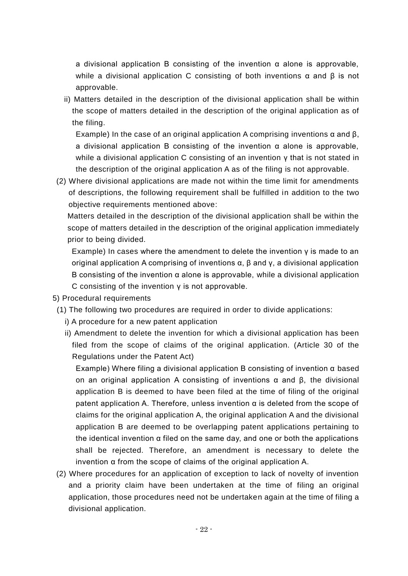a divisional application B consisting of the invention  $\alpha$  alone is approvable, while a divisional application C consisting of both inventions  $\alpha$  and  $\beta$  is not approvable.

ii) Matters detailed in the description of the divisional application shall be within the scope of matters detailed in the description of the original application as of the filing.

Example) In the case of an original application A comprising inventions  $\alpha$  and  $\beta$ , a divisional application B consisting of the invention  $\alpha$  alone is approvable, while a divisional application C consisting of an invention γ that is not stated in the description of the original application A as of the filing is not approvable.

(2) Where divisional applications are made not within the time limit for amendments of descriptions, the following requirement shall be fulfilled in addition to the two objective requirements mentioned above:

Matters detailed in the description of the divisional application shall be within the scope of matters detailed in the description of the original application immediately prior to being divided.

Example) In cases where the amendment to delete the invention  $\gamma$  is made to an original application A comprising of inventions α, β and γ, a divisional application B consisting of the invention  $\alpha$  alone is approvable, while a divisional application C consisting of the invention γ is not approvable.

- 5) Procedural requirements
- (1) The following two procedures are required in order to divide applications:
	- i) A procedure for a new patent application
	- ii) Amendment to delete the invention for which a divisional application has been filed from the scope of claims of the original application. (Article 30 of the Regulations under the Patent Act)

Example) Where filing a divisional application B consisting of invention α based on an original application A consisting of inventions α and β, the divisional application B is deemed to have been filed at the time of filing of the original patent application A. Therefore, unless invention  $\alpha$  is deleted from the scope of claims for the original application A, the original application A and the divisional application B are deemed to be overlapping patent applications pertaining to the identical invention α filed on the same day, and one or both the applications shall be rejected. Therefore, an amendment is necessary to delete the invention α from the scope of claims of the original application A.

(2) Where procedures for an application of exception to lack of novelty of invention and a priority claim have been undertaken at the time of filing an original application, those procedures need not be undertaken again at the time of filing a divisional application.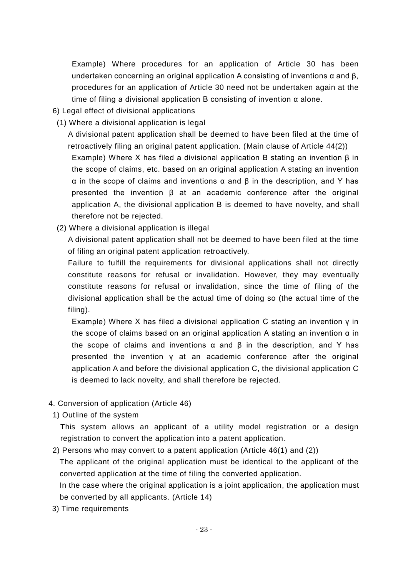Example) Where procedures for an application of Article 30 has been undertaken concerning an original application A consisting of inventions  $\alpha$  and  $\beta$ , procedures for an application of Article 30 need not be undertaken again at the time of filing a divisional application B consisting of invention  $α$  alone.

- 6) Legal effect of divisional applications
- (1) Where a divisional application is legal

A divisional patent application shall be deemed to have been filed at the time of retroactively filing an original patent application. (Main clause of Article 44(2)) Example) Where X has filed a divisional application B stating an invention β in the scope of claims, etc. based on an original application A stating an invention α in the scope of claims and inventions α and β in the description, and Y has presented the invention β at an academic conference after the original application A, the divisional application B is deemed to have novelty, and shall therefore not be rejected.

(2) Where a divisional application is illegal

A divisional patent application shall not be deemed to have been filed at the time of filing an original patent application retroactively.

Failure to fulfill the requirements for divisional applications shall not directly constitute reasons for refusal or invalidation. However, they may eventually constitute reasons for refusal or invalidation, since the time of filing of the divisional application shall be the actual time of doing so (the actual time of the filing).

Example) Where X has filed a divisional application C stating an invention γ in the scope of claims based on an original application A stating an invention  $\alpha$  in the scope of claims and inventions  $\alpha$  and  $\beta$  in the description, and Y has presented the invention γ at an academic conference after the original application A and before the divisional application C, the divisional application C is deemed to lack novelty, and shall therefore be rejected.

- 4. Conversion of application (Article 46)
	- 1) Outline of the system

This system allows an applicant of a utility model registration or a design registration to convert the application into a patent application.

2) Persons who may convert to a patent application (Article 46(1) and (2))

The applicant of the original application must be identical to the applicant of the converted application at the time of filing the converted application.

In the case where the original application is a joint application, the application must be converted by all applicants. (Article 14)

3) Time requirements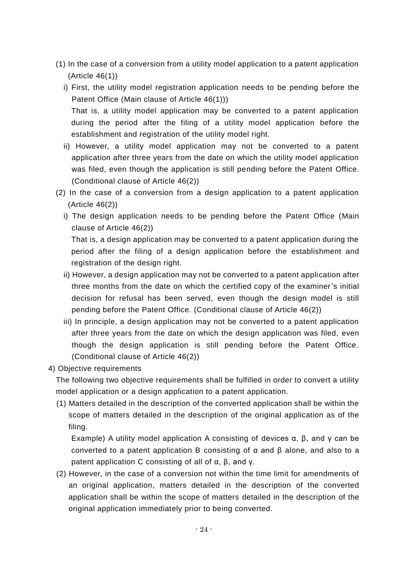- (1) In the case of a conversion from a utility model application to a patent application (Article 46(1))
	- i) First, the utility model registration application needs to be pending before the Patent Office (Main clause of Article 46(1))) That is, a utility model application may be converted to a patent application during the period after the filing of a utility model application before the establishment and registration of the utility model right.
	- ii) However, a utility model application may not be converted to a patent application after three years from the date on which the utility model application was filed, even though the application is still pending before the Patent Office. (Conditional clause of Article 46(2))
- (2) In the case of a conversion from a design application to a patent application (Article 46(2))
	- i) The design application needs to be pending before the Patent Office (Main clause of Article 46(2)) That is, a design application may be converted to a patent application during the

period after the filing of a design application before the establishment and registration of the design right.

- ii) However, a design application may not be converted to a patent application after three months from the date on which the certified copy of the examiner's initial decision for refusal has been served, even though the design model is still pending before the Patent Office. (Conditional clause of Article 46(2))
- iii) In principle, a design application may not be converted to a patent application after three years from the date on which the design application was filed, even though the design application is still pending before the Patent Office. (Conditional clause of Article 46(2))
- 4) Objective requirements

The following two objective requirements shall be fulfilled in order to convert a utility model application or a design application to a patent application.

(1) Matters detailed in the description of the converted application shall be within the scope of matters detailed in the description of the original application as of the filing.

Example) A utility model application A consisting of devices  $α$ ,  $β$ , and  $γ$  can be converted to a patent application B consisting of α and β alone, and also to a patent application C consisting of all of α, β, and γ.

(2) However, in the case of a conversion not within the time limit for amendments of an original application, matters detailed in the description of the converted application shall be within the scope of matters detailed in the description of the original application immediately prior to being converted.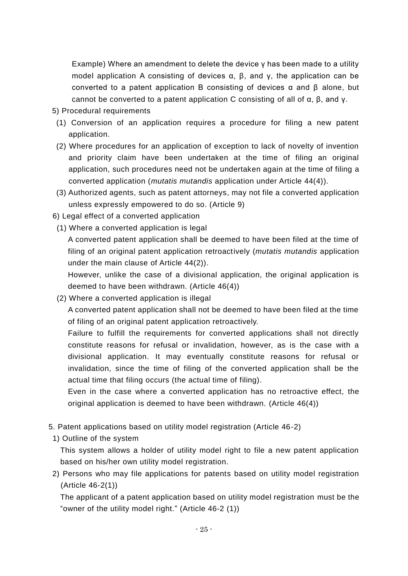Example) Where an amendment to delete the device γ has been made to a utility model application A consisting of devices  $α$ ,  $β$ , and  $γ$ , the application can be converted to a patent application B consisting of devices α and β alone, but cannot be converted to a patent application C consisting of all of α, β, and γ.

- 5) Procedural requirements
	- (1) Conversion of an application requires a procedure for filing a new patent application.
	- (2) Where procedures for an application of exception to lack of novelty of invention and priority claim have been undertaken at the time of filing an original application, such procedures need not be undertaken again at the time of filing a converted application (*mutatis mutandis* application under Article 44(4)).
	- (3) Authorized agents, such as patent attorneys, may not file a converted application unless expressly empowered to do so. (Article 9)

6) Legal effect of a converted application

(1) Where a converted application is legal

A converted patent application shall be deemed to have been filed at the time of filing of an original patent application retroactively (*mutatis mutandis* application under the main clause of Article 44(2)).

However, unlike the case of a divisional application, the original application is deemed to have been withdrawn. (Article 46(4))

(2) Where a converted application is illegal

A converted patent application shall not be deemed to have been filed at the time of filing of an original patent application retroactively.

Failure to fulfill the requirements for converted applications shall not directly constitute reasons for refusal or invalidation, however, as is the case with a divisional application. It may eventually constitute reasons for refusal or invalidation, since the time of filing of the converted application shall be the actual time that filing occurs (the actual time of filing).

Even in the case where a converted application has no retroactive effect, the original application is deemed to have been withdrawn. (Article 46(4))

- 5. Patent applications based on utility model registration (Article 46-2)
	- 1) Outline of the system

This system allows a holder of utility model right to file a new patent application based on his/her own utility model registration.

2) Persons who may file applications for patents based on utility model registration (Article 46-2(1))

The applicant of a patent application based on utility model registration must be the "owner of the utility model right." (Article 46-2 (1))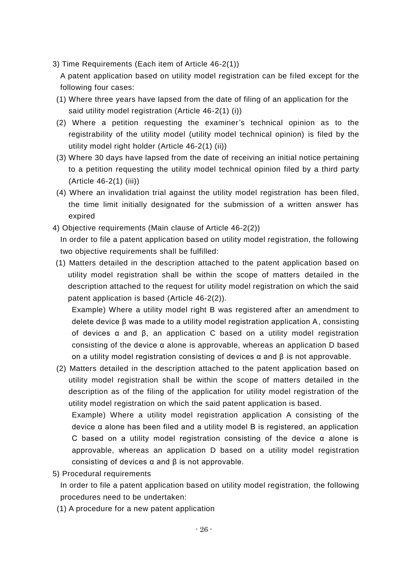3) Time Requirements (Each item of Article 46-2(1))

A patent application based on utility model registration can be filed except for the following four cases:

- (1) Where three years have lapsed from the date of filing of an application for the said utility model registration (Article 46-2(1) (i))
- (2) Where a petition requesting the examiner's technical opinion as to the registrability of the utility model (utility model technical opinion) is filed by the utility model right holder (Article 46-2(1) (ii))
- (3) Where 30 days have lapsed from the date of receiving an initial notice pertaining to a petition requesting the utility model technical opinion filed by a third party (Article 46-2(1) (iii))
- (4) Where an invalidation trial against the utility model registration has been filed, the time limit initially designated for the submission of a written answer has expired
- 4) Objective requirements (Main clause of Article 46-2(2)) In order to file a patent application based on utility model registration, the following two objective requirements shall be fulfilled:
- (1) Matters detailed in the description attached to the patent application based on utility model registration shall be within the scope of matters detailed in the description attached to the request for utility model registration on which the said patent application is based (Article 46-2(2)).

Example) Where a utility model right B was registered after an amendment to delete device β was made to a utility model registration application A, consisting of devices α and β, an application C based on a utility model registration consisting of the device α alone is approvable, whereas an application D based on a utility model registration consisting of devices  $\alpha$  and  $\beta$  is not approvable.

(2) Matters detailed in the description attached to the patent application based on utility model registration shall be within the scope of matters detailed in the description as of the filing of the application for utility model registration of the utility model registration on which the said patent application is based.

Example) Where a utility model registration application A consisting of the device α alone has been filed and a utility model B is registered, an application C based on a utility model registration consisting of the device  $\alpha$  alone is approvable, whereas an application D based on a utility model registration consisting of devices α and β is not approvable.

5) Procedural requirements

In order to file a patent application based on utility model registration, the following procedures need to be undertaken:

(1) A procedure for a new patent application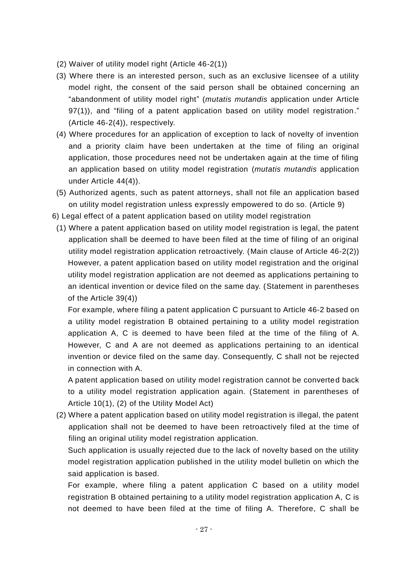(2) Waiver of utility model right (Article 46-2(1))

- (3) Where there is an interested person, such as an exclusive licensee of a utility model right, the consent of the said person shall be obtained concerning an "abandonment of utility model right" (*mutatis mutandis* application under Article 97(1)), and "filing of a patent application based on utility model registration." (Article 46-2(4)), respectively.
- (4) Where procedures for an application of exception to lack of novelty of invention and a priority claim have been undertaken at the time of filing an original application, those procedures need not be undertaken again at the time of filing an application based on utility model registration (*mutatis mutandis* application under Article 44(4)).
- (5) Authorized agents, such as patent attorneys, shall not file an application based on utility model registration unless expressly empowered to do so. (Article 9)
- 6) Legal effect of a patent application based on utility model registration
	- (1) Where a patent application based on utility model registration is legal, the patent application shall be deemed to have been filed at the time of filing of an original utility model registration application retroactively. (Main clause of Article 46-2(2)) However, a patent application based on utility model registration and the original utility model registration application are not deemed as applications pertaining to an identical invention or device filed on the same day. (Statement in parentheses of the Article 39(4))

For example, where filing a patent application C pursuant to Article 46-2 based on a utility model registration B obtained pertaining to a utility model registration application A, C is deemed to have been filed at the time of the filing of A. However, C and A are not deemed as applications pertaining to an identical invention or device filed on the same day. Consequently, C shall not be rejected in connection with A.

A patent application based on utility model registration cannot be converted back to a utility model registration application again. (Statement in parentheses of Article 10(1), (2) of the Utility Model Act)

(2) Where a patent application based on utility model registration is illegal, the patent application shall not be deemed to have been retroactively filed at the time of filing an original utility model registration application.

Such application is usually rejected due to the lack of novelty based on the utility model registration application published in the utility model bulletin on which the said application is based.

For example, where filing a patent application C based on a utility model registration B obtained pertaining to a utility model registration application A, C is not deemed to have been filed at the time of filing A. Therefore, C shall be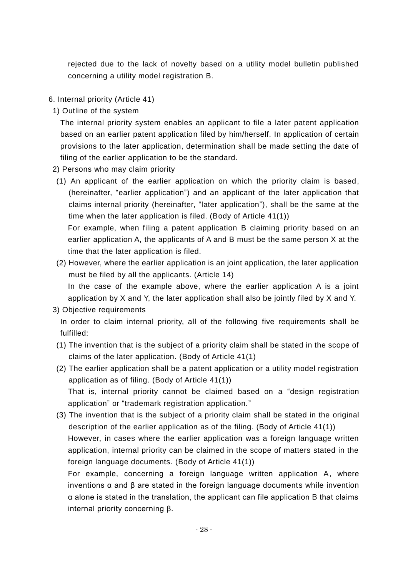rejected due to the lack of novelty based on a utility model bulletin published concerning a utility model registration B.

6. Internal priority (Article 41)

1) Outline of the system

The internal priority system enables an applicant to file a later patent application based on an earlier patent application filed by him/herself. In application of certain provisions to the later application, determination shall be made setting the date of filing of the earlier application to be the standard.

- 2) Persons who may claim priority
- (1) An applicant of the earlier application on which the priority claim is based, (hereinafter, "earlier application") and an applicant of the later application that claims internal priority (hereinafter, "later application"), shall be the same at the time when the later application is filed. (Body of Article 41(1))

For example, when filing a patent application B claiming priority based on an earlier application A, the applicants of A and B must be the same person X at the time that the later application is filed.

- (2) However, where the earlier application is an joint application, the later application must be filed by all the applicants. (Article 14) In the case of the example above, where the earlier application A is a joint application by X and Y, the later application shall also be jointly filed by X and Y.
- 3) Objective requirements

In order to claim internal priority, all of the following five requirements shall be fulfilled:

- (1) The invention that is the subject of a priority claim shall be stated in the scope of claims of the later application. (Body of Article 41(1)
- (2) The earlier application shall be a patent application or a utility model registration application as of filing. (Body of Article 41(1)) That is, internal priority cannot be claimed based on a "design registration application" or "trademark registration application."
- (3) The invention that is the subject of a priority claim shall be stated in the original description of the earlier application as of the filing. (Body of Article 41(1))

However, in cases where the earlier application was a foreign language written application, internal priority can be claimed in the scope of matters stated in the foreign language documents. (Body of Article 41(1))

For example, concerning a foreign language written application A, where inventions α and β are stated in the foreign language documents while invention α alone is stated in the translation, the applicant can file application B that claims internal priority concerning β.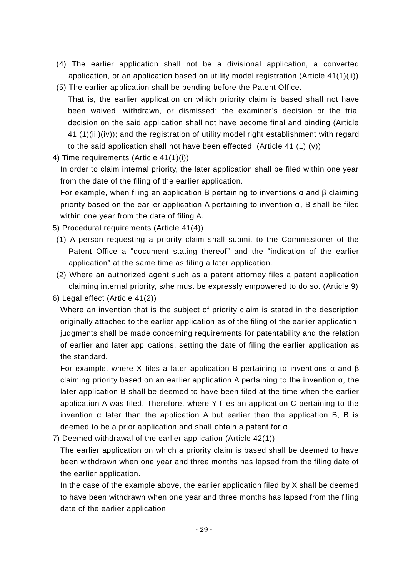- (4) The earlier application shall not be a divisional application, a converted application, or an application based on utility model registration (Article 41(1)(ii))
- (5) The earlier application shall be pending before the Patent Office. That is, the earlier application on which priority claim is based shall not have been waived, withdrawn, or dismissed; the examiner's decision or the trial decision on the said application shall not have become final and binding (Article 41 (1)(iii)(iv)); and the registration of utility model right establishment with regard to the said application shall not have been effected. (Article 41 (1) (v))
- 4) Time requirements (Article 41(1)(i))

In order to claim internal priority, the later application shall be filed within one year from the date of the filing of the earlier application.

For example, when filing an application B pertaining to inventions α and β claiming priority based on the earlier application A pertaining to invention α, B shall be filed within one year from the date of filing A.

- 5) Procedural requirements (Article 41(4))
- (1) A person requesting a priority claim shall submit to the Commissioner of the Patent Office a "document stating thereof" and the "indication of the earlier application" at the same time as filing a later application.
- (2) Where an authorized agent such as a patent attorney files a patent application claiming internal priority, s/he must be expressly empowered to do so. (Article 9)

6) Legal effect (Article 41(2))

Where an invention that is the subject of priority claim is stated in the description originally attached to the earlier application as of the filing of the earlier application, judgments shall be made concerning requirements for patentability and the relation of earlier and later applications, setting the date of filing the earlier application as the standard.

For example, where X files a later application B pertaining to inventions α and β claiming priority based on an earlier application A pertaining to the invention α, the later application B shall be deemed to have been filed at the time when the earlier application A was filed. Therefore, where Y files an application C pertaining to the invention  $\alpha$  later than the application A but earlier than the application B, B is deemed to be a prior application and shall obtain a patent for α.

7) Deemed withdrawal of the earlier application (Article 42(1))

The earlier application on which a priority claim is based shall be deemed to have been withdrawn when one year and three months has lapsed from the filing date of the earlier application.

In the case of the example above, the earlier application filed by X shall be deemed to have been withdrawn when one year and three months has lapsed from the filing date of the earlier application.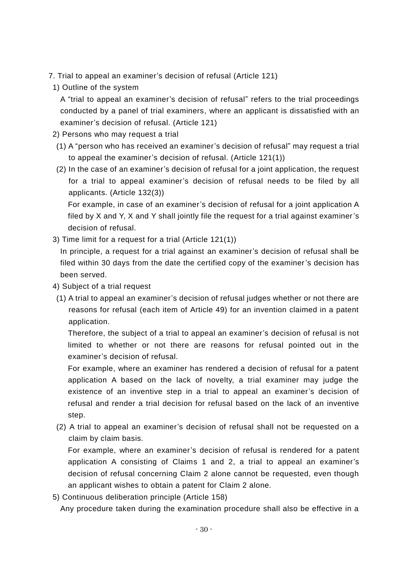- 7. Trial to appeal an examiner's decision of refusal (Article 121)
	- 1) Outline of the system

A "trial to appeal an examiner's decision of refusal" refers to the trial proceedings conducted by a panel of trial examiners, where an applicant is dissatisfied with an examiner's decision of refusal. (Article 121)

- 2) Persons who may request a trial
- (1) A "person who has received an examiner's decision of refusal" may request a trial to appeal the examiner's decision of refusal. (Article 121(1))
- (2) In the case of an examiner's decision of refusal for a joint application, the request for a trial to appeal examiner's decision of refusal needs to be filed by all applicants. (Article 132(3))

For example, in case of an examiner's decision of refusal for a joint application A filed by X and Y, X and Y shall jointly file the request for a trial against examiner's decision of refusal.

3) Time limit for a request for a trial (Article 121(1))

In principle, a request for a trial against an examiner's decision of refusal shall be filed within 30 days from the date the certified copy of the examiner's decision has been served.

- 4) Subject of a trial request
- (1) A trial to appeal an examiner's decision of refusal judges whether or not there are reasons for refusal (each item of Article 49) for an invention claimed in a patent application.

Therefore, the subject of a trial to appeal an examiner's decision of refusal is not limited to whether or not there are reasons for refusal pointed out in the examiner's decision of refusal.

For example, where an examiner has rendered a decision of refusal for a patent application A based on the lack of novelty, a trial examiner may judge the existence of an inventive step in a trial to appeal an examiner's decision of refusal and render a trial decision for refusal based on the lack of an inventive step.

(2) A trial to appeal an examiner's decision of refusal shall not be requested on a claim by claim basis.

For example, where an examiner's decision of refusal is rendered for a patent application A consisting of Claims 1 and 2, a trial to appeal an examiner's decision of refusal concerning Claim 2 alone cannot be requested, even though an applicant wishes to obtain a patent for Claim 2 alone.

5) Continuous deliberation principle (Article 158)

Any procedure taken during the examination procedure shall also be effective in a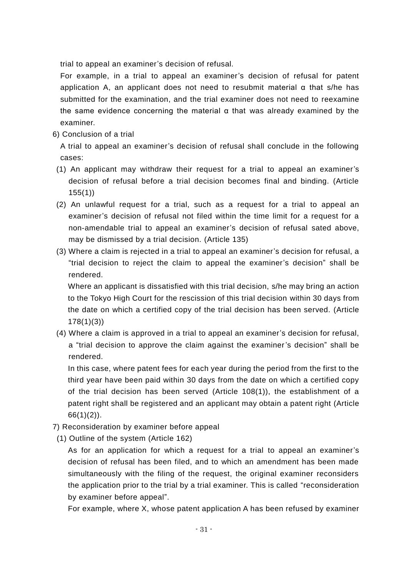trial to appeal an examiner's decision of refusal.

For example, in a trial to appeal an examiner's decision of refusal for patent application A, an applicant does not need to resubmit material  $\alpha$  that s/he has submitted for the examination, and the trial examiner does not need to reexamine the same evidence concerning the material α that was already examined by the examiner.

6) Conclusion of a trial

A trial to appeal an examiner's decision of refusal shall conclude in the following cases:

- (1) An applicant may withdraw their request for a trial to appeal an examiner's decision of refusal before a trial decision becomes final and binding. (Article 155(1))
- (2) An unlawful request for a trial, such as a request for a trial to appeal an examiner's decision of refusal not filed within the time limit for a request for a non-amendable trial to appeal an examiner's decision of refusal sated above, may be dismissed by a trial decision. (Article 135)
- (3) Where a claim is rejected in a trial to appeal an examiner's decision for refusal, a "trial decision to reject the claim to appeal the examiner's decision" shall be rendered.

Where an applicant is dissatisfied with this trial decision, s/he may bring an action to the Tokyo High Court for the rescission of this trial decision within 30 days from the date on which a certified copy of the trial decision has been served. (Article 178(1)(3))

(4) Where a claim is approved in a trial to appeal an examiner's decision for refusal, a "trial decision to approve the claim against the examiner's decision" shall be rendered.

In this case, where patent fees for each year during the period from the first to the third year have been paid within 30 days from the date on which a certified copy of the trial decision has been served (Article 108(1)), the establishment of a patent right shall be registered and an applicant may obtain a patent right (Article  $66(1)(2)$ .

- 7) Reconsideration by examiner before appeal
- (1) Outline of the system (Article 162)

As for an application for which a request for a trial to appeal an examiner's decision of refusal has been filed, and to which an amendment has been made simultaneously with the filing of the request, the original examiner reconsiders the application prior to the trial by a trial examiner. This is called "reconsideration by examiner before appeal".

For example, where X, whose patent application A has been refused by examiner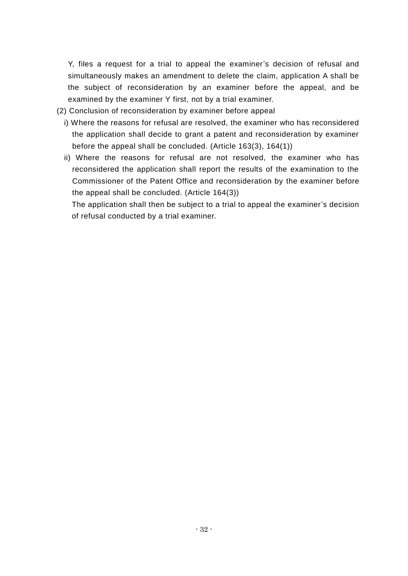Y, files a request for a trial to appeal the examiner's decision of refusal and simultaneously makes an amendment to delete the claim, application A shall be the subject of reconsideration by an examiner before the appeal, and be examined by the examiner Y first, not by a trial examiner.

- (2) Conclusion of reconsideration by examiner before appeal
	- i) Where the reasons for refusal are resolved, the examiner who has reconsidered the application shall decide to grant a patent and reconsideration by examiner before the appeal shall be concluded. (Article 163(3), 164(1))
	- ii) Where the reasons for refusal are not resolved, the examiner who has reconsidered the application shall report the results of the examination to the Commissioner of the Patent Office and reconsideration by the examiner before the appeal shall be concluded. (Article 164(3))

The application shall then be subject to a trial to appeal the examiner's decision of refusal conducted by a trial examiner.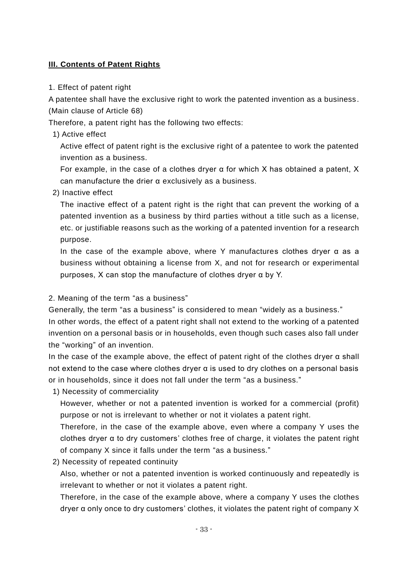#### **III. Contents of Patent Rights**

#### 1. Effect of patent right

A patentee shall have the exclusive right to work the patented invention as a business. (Main clause of Article 68)

Therefore, a patent right has the following two effects:

1) Active effect

Active effect of patent right is the exclusive right of a patentee to work the patented invention as a business.

For example, in the case of a clothes dryer α for which X has obtained a patent, X can manufacture the drier α exclusively as a business.

#### 2) Inactive effect

The inactive effect of a patent right is the right that can prevent the working of a patented invention as a business by third parties without a title such as a license, etc. or justifiable reasons such as the working of a patented invention for a research purpose.

In the case of the example above, where Y manufactures clothes dryer α as a business without obtaining a license from X, and not for research or experimental purposes, X can stop the manufacture of clothes dryer α by Y.

#### 2. Meaning of the term "as a business"

Generally, the term "as a business" is considered to mean "widely as a business."

In other words, the effect of a patent right shall not extend to the working of a patented invention on a personal basis or in households, even though such cases also fall under the "working" of an invention.

In the case of the example above, the effect of patent right of the clothes dryer  $\alpha$  shall not extend to the case where clothes dryer  $\alpha$  is used to dry clothes on a personal basis or in households, since it does not fall under the term "as a business."

1) Necessity of commerciality

However, whether or not a patented invention is worked for a commercial (profit) purpose or not is irrelevant to whether or not it violates a patent right.

Therefore, in the case of the example above, even where a company Y uses the clothes dryer  $\alpha$  to dry customers' clothes free of charge, it violates the patent right of company X since it falls under the term "as a business."

2) Necessity of repeated continuity

Also, whether or not a patented invention is worked continuously and repeatedly is irrelevant to whether or not it violates a patent right.

Therefore, in the case of the example above, where a company Y uses the clothes dryer α only once to dry customers' clothes, it violates the patent right of company X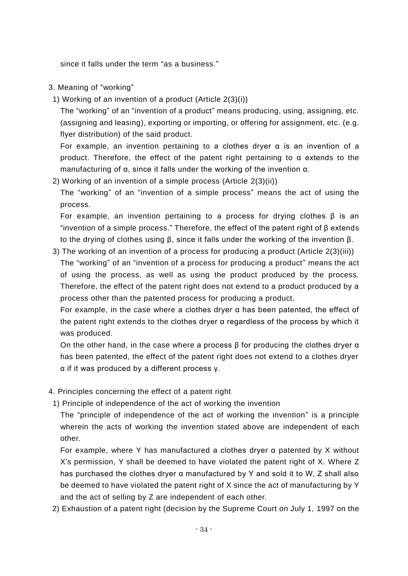since it falls under the term "as a business."

#### 3. Meaning of "working"

1) Working of an invention of a product (Article 2(3)(i))

The "working" of an "invention of a product" means producing, using, assigning, etc. (assigning and leasing), exporting or importing, or offering for assignment, etc. (e.g. flyer distribution) of the said product.

For example, an invention pertaining to a clothes dryer  $\alpha$  is an invention of a product. Therefore, the effect of the patent right pertaining to α extends to the manufacturing of α, since it falls under the working of the invention α.

2) Working of an invention of a simple process (Article 2(3)(ii))

The "working" of an "invention of a simple process" means the act of using the process.

For example, an invention pertaining to a process for drying clothes  $\beta$  is an "invention of a simple process." Therefore, the effect of the patent right of β extends to the drying of clothes using β, since it falls under the working of the invention β.

3) The working of an invention of a process for producing a product (Article 2(3)(iii)) The "working" of an "invention of a process for producing a product" means the act of using the process, as well as using the product produced by the process. Therefore, the effect of the patent right does not extend to a product produced by a process other than the patented process for producing a product.

For example, in the case where a clothes dryer  $\alpha$  has been patented, the effect of the patent right extends to the clothes dryer α regardless of the process by which it was produced.

On the other hand, in the case where a process  $\beta$  for producing the clothes dryer  $\alpha$ has been patented, the effect of the patent right does not extend to a clothes dryer α if it was produced by a different process γ.

- 4. Principles concerning the effect of a patent right
- 1) Principle of independence of the act of working the invention

The "principle of independence of the act of working the invention" is a principle wherein the acts of working the invention stated above are independent of each other.

For example, where Y has manufactured a clothes dryer α patented by X without X's permission, Y shall be deemed to have violated the patent right of X. Where Z has purchased the clothes dryer α manufactured by Y and sold it to W, Z shall also be deemed to have violated the patent right of X since the act of manufacturing by Y and the act of selling by Z are independent of each other.

2) Exhaustion of a patent right (decision by the Supreme Court on July 1, 1997 on the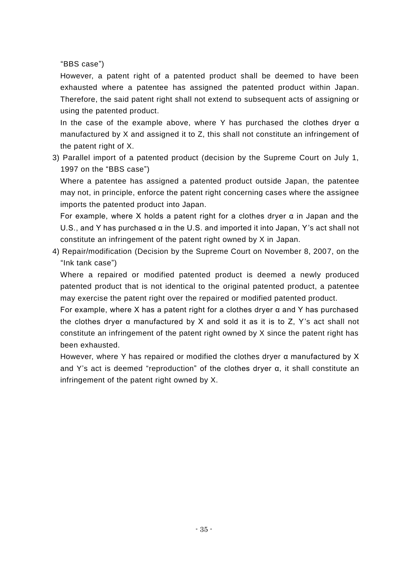"BBS case")

However, a patent right of a patented product shall be deemed to have been exhausted where a patentee has assigned the patented product within Japan. Therefore, the said patent right shall not extend to subsequent acts of assigning or using the patented product.

In the case of the example above, where Y has purchased the clothes dryer  $\alpha$ manufactured by X and assigned it to Z, this shall not constitute an infringement of the patent right of X.

3) Parallel import of a patented product (decision by the Supreme Court on July 1, 1997 on the "BBS case")

Where a patentee has assigned a patented product outside Japan, the patentee may not, in principle, enforce the patent right concerning cases where the assignee imports the patented product into Japan.

For example, where X holds a patent right for a clothes dryer  $\alpha$  in Japan and the U.S., and Y has purchased α in the U.S. and imported it into Japan, Y's act shall not constitute an infringement of the patent right owned by X in Japan.

4) Repair/modification (Decision by the Supreme Court on November 8, 2007, on the "Ink tank case")

Where a repaired or modified patented product is deemed a newly produced patented product that is not identical to the original patented product, a patentee may exercise the patent right over the repaired or modified patented product.

For example, where X has a patent right for a clothes dryer  $\alpha$  and Y has purchased the clothes dryer α manufactured by X and sold it as it is to Z, Y's act shall not constitute an infringement of the patent right owned by X since the patent right has been exhausted.

However, where Y has repaired or modified the clothes dryer α manufactured by X and Y's act is deemed "reproduction" of the clothes dryer α, it shall constitute an infringement of the patent right owned by X.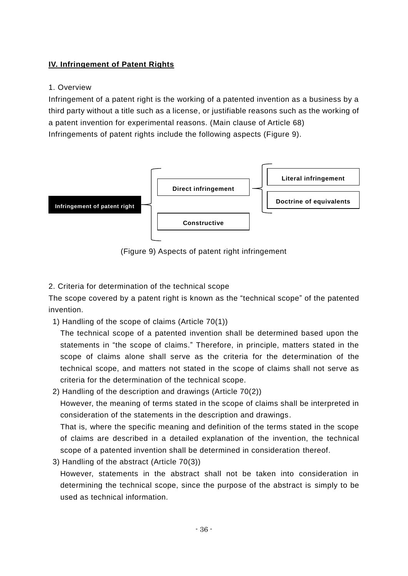#### **IV. Infringement of Patent Rights**

#### 1. Overview

Infringement of a patent right is the working of a patented invention as a business by a third party without a title such as a license, or justifiable reasons such as the working of a patent invention for experimental reasons. (Main clause of Article 68) Infringements of patent rights include the following aspects (Figure 9).



(Figure 9) Aspects of patent right infringement

2. Criteria for determination of the technical scope

The scope covered by a patent right is known as the "technical scope" of the patented invention.

1) Handling of the scope of claims (Article 70(1))

The technical scope of a patented invention shall be determined based upon the statements in "the scope of claims." Therefore, in principle, matters stated in the scope of claims alone shall serve as the criteria for the determination of the technical scope, and matters not stated in the scope of claims shall not serve as criteria for the determination of the technical scope.

2) Handling of the description and drawings (Article 70(2))

However, the meaning of terms stated in the scope of claims shall be interpreted in consideration of the statements in the description and drawings.

That is, where the specific meaning and definition of the terms stated in the scope of claims are described in a detailed explanation of the invention, the technical scope of a patented invention shall be determined in consideration thereof.

3) Handling of the abstract (Article 70(3))

However, statements in the abstract shall not be taken into consideration in determining the technical scope, since the purpose of the abstract is simply to be used as technical information.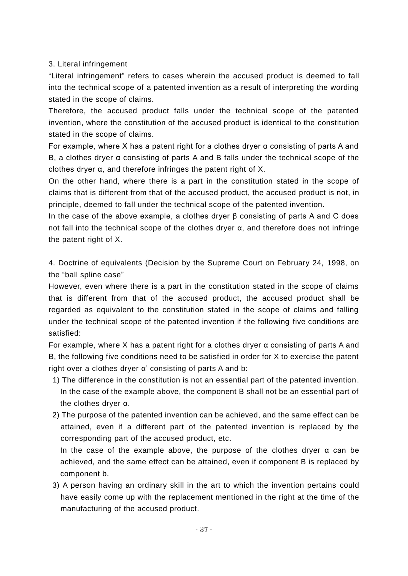#### 3. Literal infringement

"Literal infringement" refers to cases wherein the accused product is deemed to fall into the technical scope of a patented invention as a result of interpreting the wording stated in the scope of claims.

Therefore, the accused product falls under the technical scope of the patented invention, where the constitution of the accused product is identical to the constitution stated in the scope of claims.

For example, where X has a patent right for a clothes dryer  $\alpha$  consisting of parts A and B, a clothes dryer α consisting of parts A and B falls under the technical scope of the clothes dryer α, and therefore infringes the patent right of X.

On the other hand, where there is a part in the constitution stated in the scope of claims that is different from that of the accused product, the accused product is not, in principle, deemed to fall under the technical scope of the patented invention.

In the case of the above example, a clothes dryer β consisting of parts A and C does not fall into the technical scope of the clothes dryer α, and therefore does not infringe the patent right of X.

4. Doctrine of equivalents (Decision by the Supreme Court on February 24, 1998, on the "ball spline case"

However, even where there is a part in the constitution stated in the scope of claims that is different from that of the accused product, the accused product shall be regarded as equivalent to the constitution stated in the scope of claims and falling under the technical scope of the patented invention if the following five conditions are satisfied:

For example, where X has a patent right for a clothes dryer  $\alpha$  consisting of parts A and B, the following five conditions need to be satisfied in order for X to exercise the patent right over a clothes dryer α' consisting of parts A and b:

- 1) The difference in the constitution is not an essential part of the patented invention. In the case of the example above, the component B shall not be an essential part of the clothes dryer α.
- 2) The purpose of the patented invention can be achieved, and the same effect can be attained, even if a different part of the patented invention is replaced by the corresponding part of the accused product, etc.

In the case of the example above, the purpose of the clothes dryer  $\alpha$  can be achieved, and the same effect can be attained, even if component B is replaced by component b.

3) A person having an ordinary skill in the art to which the invention pertains could have easily come up with the replacement mentioned in the right at the time of the manufacturing of the accused product.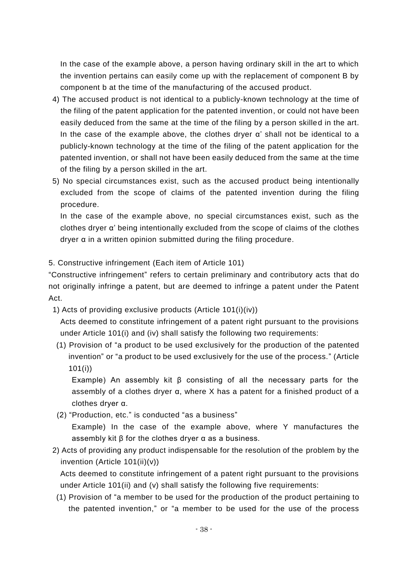In the case of the example above, a person having ordinary skill in the art to which the invention pertains can easily come up with the replacement of component B by component b at the time of the manufacturing of the accused product.

- 4) The accused product is not identical to a publicly-known technology at the time of the filing of the patent application for the patented invention, or could not have been easily deduced from the same at the time of the filing by a person skilled in the art. In the case of the example above, the clothes dryer α' shall not be identical to a publicly-known technology at the time of the filing of the patent application for the patented invention, or shall not have been easily deduced from the same at the time of the filing by a person skilled in the art.
- 5) No special circumstances exist, such as the accused product being intentionally excluded from the scope of claims of the patented invention during the filing procedure.

In the case of the example above, no special circumstances exist, such as the clothes dryer α' being intentionally excluded from the scope of claims of the clothes dryer α in a written opinion submitted during the filing procedure.

#### 5. Constructive infringement (Each item of Article 101)

"Constructive infringement" refers to certain preliminary and contributory acts that do not originally infringe a patent, but are deemed to infringe a patent under the Patent Act.

1) Acts of providing exclusive products (Article 101(i)(iv))

Acts deemed to constitute infringement of a patent right pursuant to the provisions under Article 101(i) and (iv) shall satisfy the following two requirements:

(1) Provision of "a product to be used exclusively for the production of the patented invention" or "a product to be used exclusively for the use of the process." (Article 101(i))

Example) An assembly kit β consisting of all the necessary parts for the assembly of a clothes dryer α, where X has a patent for a finished product of a clothes dryer α.

(2) "Production, etc." is conducted "as a business"

Example) In the case of the example above, where Y manufactures the assembly kit β for the clothes dryer α as a business.

2) Acts of providing any product indispensable for the resolution of the problem by the invention (Article 101(ii)(v))

Acts deemed to constitute infringement of a patent right pursuant to the provisions under Article 101(ii) and (v) shall satisfy the following five requirements:

(1) Provision of "a member to be used for the production of the product pertaining to the patented invention," or "a member to be used for the use of the process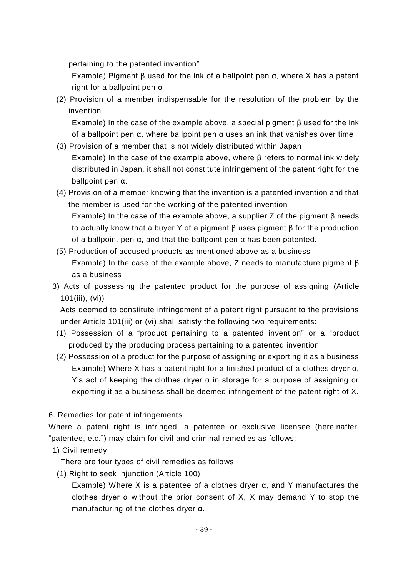pertaining to the patented invention"

Example) Pigment β used for the ink of a ballpoint pen  $α$ , where X has a patent right for a ballpoint pen α

(2) Provision of a member indispensable for the resolution of the problem by the invention

Example) In the case of the example above, a special pigment  $\beta$  used for the ink of a ballpoint pen α, where ballpoint pen α uses an ink that vanishes over time

- (3) Provision of a member that is not widely distributed within Japan Example) In the case of the example above, where β refers to normal ink widely distributed in Japan, it shall not constitute infringement of the patent right for the ballpoint pen α.
- (4) Provision of a member knowing that the invention is a patented invention and that the member is used for the working of the patented invention

Example) In the case of the example above, a supplier Z of the pigment β needs to actually know that a buyer Y of a pigment β uses pigment β for the production of a ballpoint pen α, and that the ballpoint pen α has been patented.

- (5) Production of accused products as mentioned above as a business Example) In the case of the example above, Z needs to manufacture pigment β as a business
- 3) Acts of possessing the patented product for the purpose of assigning (Article 101(iii), (vi))

Acts deemed to constitute infringement of a patent right pursuant to the provisions under Article 101(iii) or (vi) shall satisfy the following two requirements:

- (1) Possession of a "product pertaining to a patented invention" or a "product produced by the producing process pertaining to a patented invention"
- (2) Possession of a product for the purpose of assigning or exporting it as a business Example) Where X has a patent right for a finished product of a clothes dryer α, Y's act of keeping the clothes dryer  $\alpha$  in storage for a purpose of assigning or exporting it as a business shall be deemed infringement of the patent right of X.

#### 6. Remedies for patent infringements

Where a patent right is infringed, a patentee or exclusive licensee (hereinafter, "patentee, etc.") may claim for civil and criminal remedies as follows:

1) Civil remedy

There are four types of civil remedies as follows:

(1) Right to seek injunction (Article 100)

Example) Where X is a patentee of a clothes dryer α, and Y manufactures the clothes dryer α without the prior consent of X, X may demand Y to stop the manufacturing of the clothes dryer α.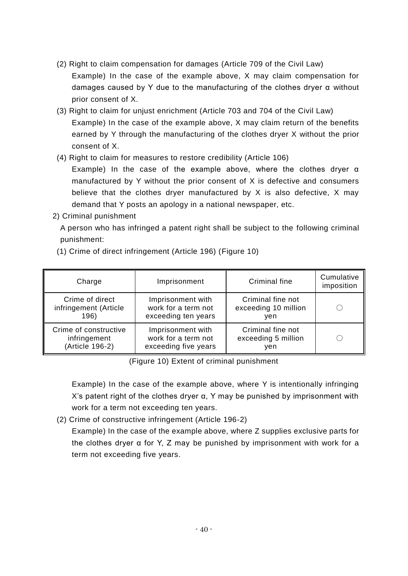- (2) Right to claim compensation for damages (Article 709 of the Civil Law) Example) In the case of the example above, X may claim compensation for damages caused by Y due to the manufacturing of the clothes dryer  $\alpha$  without prior consent of X.
- (3) Right to claim for unjust enrichment (Article 703 and 704 of the Civil Law) Example) In the case of the example above, X may claim return of the benefits earned by Y through the manufacturing of the clothes dryer X without the prior consent of X.
- (4) Right to claim for measures to restore credibility (Article 106)

Example) In the case of the example above, where the clothes dryer α manufactured by Y without the prior consent of X is defective and consumers believe that the clothes dryer manufactured by X is also defective, X may demand that Y posts an apology in a national newspaper, etc.

2) Criminal punishment

A person who has infringed a patent right shall be subject to the following criminal punishment:

| Charge                | Imprisonment         | Criminal fine        | Cumulative<br>imposition |
|-----------------------|----------------------|----------------------|--------------------------|
| Crime of direct       | Imprisonment with    | Criminal fine not    |                          |
| infringement (Article | work for a term not  | exceeding 10 million |                          |
| 196)                  | exceeding ten years  | ven                  |                          |
| Crime of constructive | Imprisonment with    | Criminal fine not    |                          |
| infringement          | work for a term not  | exceeding 5 million  |                          |
| (Article 196-2)       | exceeding five years | ven                  |                          |

(1) Crime of direct infringement (Article 196) (Figure 10)

(Figure 10) Extent of criminal punishment

Example) In the case of the example above, where Y is intentionally infringing X's patent right of the clothes dryer  $α$ , Y may be punished by imprisonment with work for a term not exceeding ten years.

(2) Crime of constructive infringement (Article 196-2)

Example) In the case of the example above, where Z supplies exclusive parts for the clothes dryer  $\alpha$  for Y, Z may be punished by imprisonment with work for a term not exceeding five years.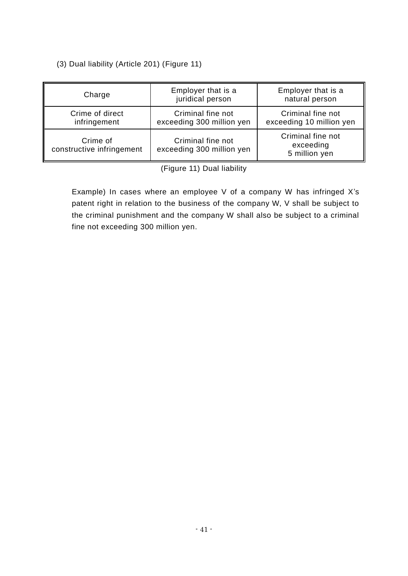#### (3) Dual liability (Article 201) (Figure 11)

| Charge                                | Employer that is a<br>juridical person         | Employer that is a<br>natural person            |
|---------------------------------------|------------------------------------------------|-------------------------------------------------|
| Crime of direct<br>infringement       | Criminal fine not<br>exceeding 300 million yen | Criminal fine not<br>exceeding 10 million yen   |
| Crime of<br>constructive infringement | Criminal fine not<br>exceeding 300 million yen | Criminal fine not<br>exceeding<br>5 million yen |

(Figure 11) Dual liability

Example) In cases where an employee V of a company W has infringed X's patent right in relation to the business of the company W, V shall be subject to the criminal punishment and the company W shall also be subject to a criminal fine not exceeding 300 million yen.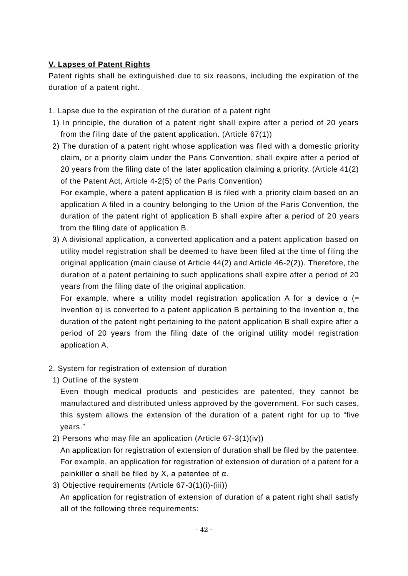#### **V. Lapses of Patent Rights**

Patent rights shall be extinguished due to six reasons, including the expiration of the duration of a patent right.

- 1. Lapse due to the expiration of the duration of a patent right
- 1) In principle, the duration of a patent right shall expire after a period of 20 years from the filing date of the patent application. (Article 67(1))
- 2) The duration of a patent right whose application was filed with a domestic priority claim, or a priority claim under the Paris Convention, shall expire after a period of 20 years from the filing date of the later application claiming a priority. (Article 41(2) of the Patent Act, Article 4-2(5) of the Paris Convention) For example, where a patent application B is filed with a priority claim based on an

application A filed in a country belonging to the Union of the Paris Convention, the duration of the patent right of application B shall expire after a period of 20 years from the filing date of application B.

3) A divisional application, a converted application and a patent application based on utility model registration shall be deemed to have been filed at the time of filing the original application (main clause of Article 44(2) and Article 46-2(2)). Therefore, the duration of a patent pertaining to such applications shall expire after a period of 20 years from the filing date of the original application.

For example, where a utility model registration application A for a device  $\alpha$  (= invention α) is converted to a patent application B pertaining to the invention α, the duration of the patent right pertaining to the patent application B shall expire after a period of 20 years from the filing date of the original utility model registration application A.

- 2. System for registration of extension of duration
- 1) Outline of the system

Even though medical products and pesticides are patented, they cannot be manufactured and distributed unless approved by the government. For such cases, this system allows the extension of the duration of a patent right for up to "five years."

2) Persons who may file an application (Article 67-3(1)(iv))

An application for registration of extension of duration shall be filed by the patentee. For example, an application for registration of extension of duration of a patent for a painkiller  $α$  shall be filed by  $X$ , a patentee of  $α$ .

3) Objective requirements (Article 67-3(1)(i)-(iii))

An application for registration of extension of duration of a patent right shall satisfy all of the following three requirements: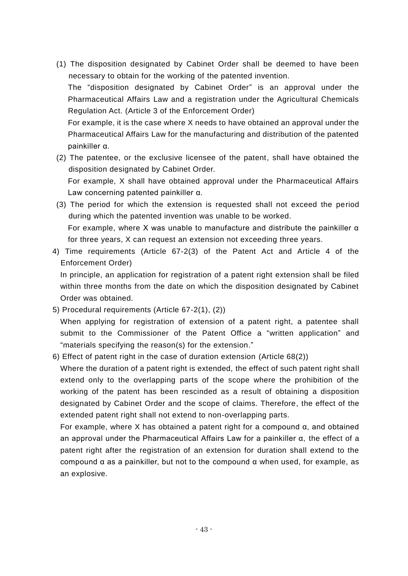(1) The disposition designated by Cabinet Order shall be deemed to have been necessary to obtain for the working of the patented invention.

The "disposition designated by Cabinet Order" is an approval under the Pharmaceutical Affairs Law and a registration under the Agricultural Chemicals Regulation Act. (Article 3 of the Enforcement Order)

For example, it is the case where X needs to have obtained an approval under the Pharmaceutical Affairs Law for the manufacturing and distribution of the patented painkiller α.

(2) The patentee, or the exclusive licensee of the patent, shall have obtained the disposition designated by Cabinet Order. For example, X shall have obtained approval under the Pharmaceutical Affairs

Law concerning patented painkiller α.

- (3) The period for which the extension is requested shall not exceed the period during which the patented invention was unable to be worked. For example, where X was unable to manufacture and distribute the painkiller α for three years, X can request an extension not exceeding three years.
- 4) Time requirements (Article 67-2(3) of the Patent Act and Article 4 of the Enforcement Order)

In principle, an application for registration of a patent right extension shall be filed within three months from the date on which the disposition designated by Cabinet Order was obtained.

- 5) Procedural requirements (Article 67-2(1), (2)) When applying for registration of extension of a patent right, a patentee shall submit to the Commissioner of the Patent Office a "written application" and "materials specifying the reason(s) for the extension."
- 6) Effect of patent right in the case of duration extension (Article 68(2))

Where the duration of a patent right is extended, the effect of such patent right shall extend only to the overlapping parts of the scope where the prohibition of the working of the patent has been rescinded as a result of obtaining a disposition designated by Cabinet Order and the scope of claims. Therefore, the effect of the extended patent right shall not extend to non-overlapping parts.

For example, where X has obtained a patent right for a compound α, and obtained an approval under the Pharmaceutical Affairs Law for a painkiller  $\alpha$ , the effect of a patent right after the registration of an extension for duration shall extend to the compound α as a painkiller, but not to the compound α when used, for example, as an explosive.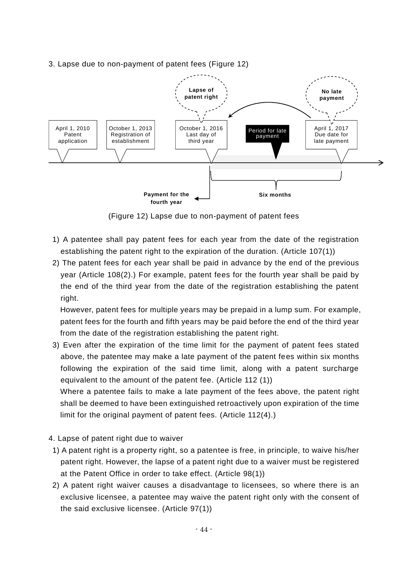#### 3. Lapse due to non-payment of patent fees (Figure 12)



(Figure 12) Lapse due to non-payment of patent fees

- 1) A patentee shall pay patent fees for each year from the date of the registration establishing the patent right to the expiration of the duration. (Article 107(1))
- 2) The patent fees for each year shall be paid in advance by the end of the previous year (Article 108(2).) For example, patent fees for the fourth year shall be paid by the end of the third year from the date of the registration establishing the patent right.

However, patent fees for multiple years may be prepaid in a lump sum. For example, patent fees for the fourth and fifth years may be paid before the end of the third year from the date of the registration establishing the patent right.

3) Even after the expiration of the time limit for the payment of patent fees stated above, the patentee may make a late payment of the patent fees within six months following the expiration of the said time limit, along with a patent surcharge equivalent to the amount of the patent fee. (Article 112 (1))

Where a patentee fails to make a late payment of the fees above, the patent right shall be deemed to have been extinguished retroactively upon expiration of the time limit for the original payment of patent fees. (Article 112(4).)

- 4. Lapse of patent right due to waiver
- 1) A patent right is a property right, so a patentee is free, in principle, to waive his/her patent right. However, the lapse of a patent right due to a waiver must be registered at the Patent Office in order to take effect. (Article 98(1))
- 2) A patent right waiver causes a disadvantage to licensees, so where there is an exclusive licensee, a patentee may waive the patent right only with the consent of the said exclusive licensee. (Article 97(1))